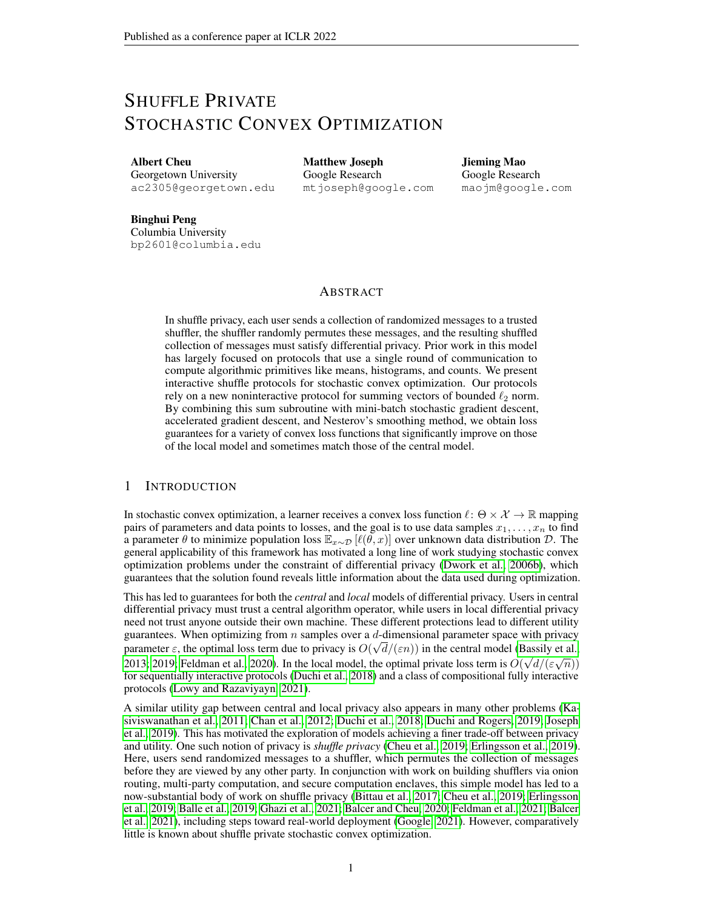# SHUFFLE PRIVATE STOCHASTIC CONVEX OPTIMIZATION

Albert Cheu Georgetown University ac2305@georgetown.edu Matthew Joseph Google Research mtjoseph@google.com Jieming Mao Google Research maojm@google.com

Binghui Peng Columbia University bp2601@columbia.edu

## ABSTRACT

In shuffle privacy, each user sends a collection of randomized messages to a trusted shuffler, the shuffler randomly permutes these messages, and the resulting shuffled collection of messages must satisfy differential privacy. Prior work in this model has largely focused on protocols that use a single round of communication to compute algorithmic primitives like means, histograms, and counts. We present interactive shuffle protocols for stochastic convex optimization. Our protocols rely on a new noninteractive protocol for summing vectors of bounded  $\ell_2$  norm. By combining this sum subroutine with mini-batch stochastic gradient descent, accelerated gradient descent, and Nesterov's smoothing method, we obtain loss guarantees for a variety of convex loss functions that significantly improve on those of the local model and sometimes match those of the central model.

# 1 INTRODUCTION

In stochastic convex optimization, a learner receives a convex loss function  $\ell : \Theta \times \mathcal{X} \to \mathbb{R}$  mapping pairs of parameters and data points to losses, and the goal is to use data samples  $x_1, \ldots, x_n$  to find a parameter  $\theta$  to minimize population loss  $\mathbb{E}_{x \sim \mathcal{D}}[\ell(\theta, x)]$  over unknown data distribution D. The general applicability of this framework has motivated a long line of work studying stochastic convex optimization problems under the constraint of differential privacy [\(Dwork et al., 2006b\)](#page-10-0), which guarantees that the solution found reveals little information about the data used during optimization.

This has led to guarantees for both the *central* and *local* models of differential privacy. Users in central differential privacy must trust a central algorithm operator, while users in local differential privacy need not trust anyone outside their own machine. These different protections lead to different utility guarantees. When optimizing from *n* samples over a *d*-dimensional parameter space with privacy parameter  $\varepsilon$ , the optimal loss term due to privacy is  $O(\sqrt{d}/(\varepsilon n))$  in the central model [\(Bassily et al.,](#page-10-1) parameter e, the optimal loss term due to privacy is  $O(\sqrt{a}/(\varepsilon n))$  in the central model (Bassify et al., [2013;](#page-10-1) [2019;](#page-10-2) [Feldman et al., 2020\)](#page-11-0). In the local model, the optimal private loss term is  $O(\sqrt{d}/(\varepsilon \sqrt{n}))$ for sequentially interactive protocols [\(Duchi et al., 2018\)](#page-10-3) and a class of compositional fully interactive protocols [\(Lowy and Razaviyayn, 2021\)](#page-11-1).

A similar utility gap between central and local privacy also appears in many other problems [\(Ka](#page-11-2)[siviswanathan et al., 2011;](#page-11-2) [Chan et al., 2012;](#page-10-4) [Duchi et al., 2018;](#page-10-3) [Duchi and Rogers, 2019;](#page-10-5) [Joseph](#page-11-3) [et al., 2019\)](#page-11-3). This has motivated the exploration of models achieving a finer trade-off between privacy and utility. One such notion of privacy is *shuffle privacy* [\(Cheu et al., 2019;](#page-10-6) [Erlingsson et al., 2019\)](#page-11-4). Here, users send randomized messages to a shuffler, which permutes the collection of messages before they are viewed by any other party. In conjunction with work on building shufflers via onion routing, multi-party computation, and secure computation enclaves, this simple model has led to a now-substantial body of work on shuffle privacy [\(Bittau et al., 2017;](#page-10-7) [Cheu et al., 2019;](#page-10-6) [Erlingsson](#page-11-4) [et al., 2019;](#page-11-4) [Balle et al., 2019;](#page-10-8) [Ghazi et al., 2021;](#page-11-5) [Balcer and Cheu, 2020;](#page-10-9) [Feldman et al., 2021;](#page-11-6) [Balcer](#page-10-10) [et al., 2021\)](#page-10-10), including steps toward real-world deployment [\(Google, 2021\)](#page-11-7). However, comparatively little is known about shuffle private stochastic convex optimization.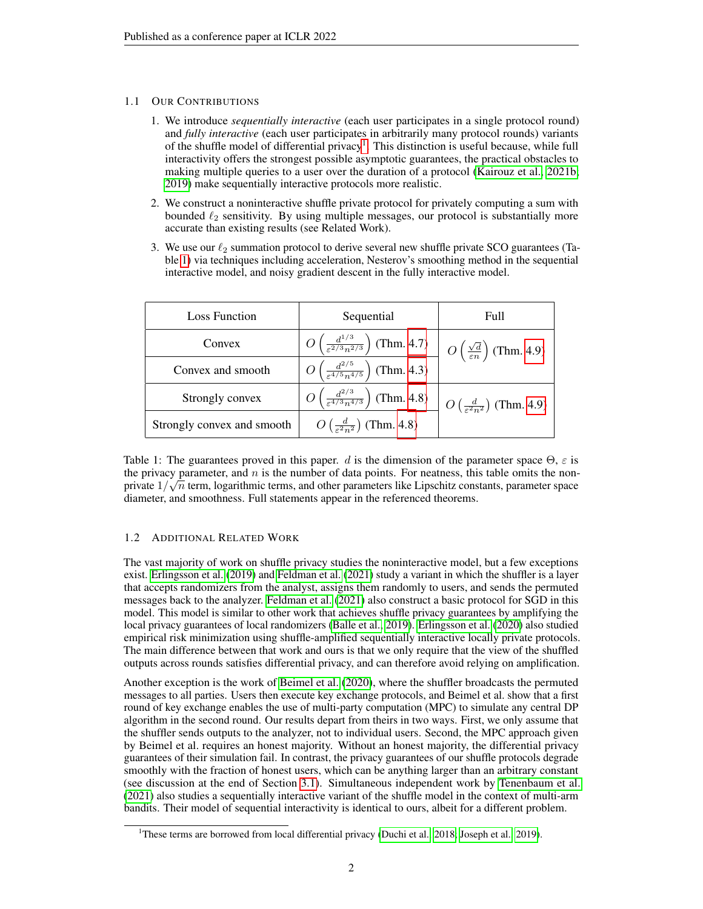## 1.1 OUR CONTRIBUTIONS

- 1. We introduce *sequentially interactive* (each user participates in a single protocol round) and *fully interactive* (each user participates in arbitrarily many protocol rounds) variants of the shuffle model of differential privacy<sup>[1](#page-1-0)</sup>. This distinction is useful because, while full interactivity offers the strongest possible asymptotic guarantees, the practical obstacles to making multiple queries to a user over the duration of a protocol [\(Kairouz et al., 2021b;](#page-11-8) [2019\)](#page-11-9) make sequentially interactive protocols more realistic.
- 2. We construct a noninteractive shuffle private protocol for privately computing a sum with bounded  $\ell_2$  sensitivity. By using multiple messages, our protocol is substantially more accurate than existing results (see Related Work).
- 3. We use our  $\ell_2$  summation protocol to derive several new shuffle private SCO guarantees (Table [1\)](#page-1-1) via techniques including acceleration, Nesterov's smoothing method in the sequential interactive model, and noisy gradient descent in the fully interactive model.

<span id="page-1-1"></span>

| <b>Loss Function</b>       | Sequential                                                          | Full                                                          |
|----------------------------|---------------------------------------------------------------------|---------------------------------------------------------------|
| Convex                     | $O\left(\frac{d^{1/3}}{\varepsilon^{2/3}n^{2/3}}\right)$ (Thm. 4.7) | $O\left(\frac{\sqrt{d}}{\varepsilon n}\right)$ (Thm. 4.9)     |
| Convex and smooth          | $O\left(\frac{d^{2/5}}{\varepsilon^{4/5}n^{4/5}}\right)$ (Thm. 4.3) |                                                               |
| Strongly convex            | $O\left(\frac{d^{2/3}}{\varepsilon^{4/3}n^{4/3}}\right)$ (Thm. 4.8) | $\bigcup$ O $\left(\frac{d}{\epsilon^2n^2}\right)$ (Thm. 4.9) |
| Strongly convex and smooth | $O\left(\frac{d}{\epsilon^2 n^2}\right)$ (Thm. 4.8)                 |                                                               |

Table 1: The guarantees proved in this paper. d is the dimension of the parameter space  $\Theta$ ,  $\varepsilon$  is the privacy parameter, and  $n$  is the number of data points. For neatness, this table omits the nonprivate  $1/\sqrt{n}$  term, logarithmic terms, and other parameters like Lipschitz constants, parameter space diameter, and smoothness. Full statements appear in the referenced theorems.

# 1.2 ADDITIONAL RELATED WORK

The vast majority of work on shuffle privacy studies the noninteractive model, but a few exceptions exist. [Erlingsson et al.](#page-11-4) [\(2019\)](#page-11-4) and [Feldman et al.](#page-11-6) [\(2021\)](#page-11-6) study a variant in which the shuffler is a layer that accepts randomizers from the analyst, assigns them randomly to users, and sends the permuted messages back to the analyzer. [Feldman et al.](#page-11-6) [\(2021\)](#page-11-6) also construct a basic protocol for SGD in this model. This model is similar to other work that achieves shuffle privacy guarantees by amplifying the local privacy guarantees of local randomizers [\(Balle et al., 2019\)](#page-10-8). [Erlingsson et al.](#page-11-10) [\(2020\)](#page-11-10) also studied empirical risk minimization using shuffle-amplified sequentially interactive locally private protocols. The main difference between that work and ours is that we only require that the view of the shuffled outputs across rounds satisfies differential privacy, and can therefore avoid relying on amplification.

Another exception is the work of [Beimel et al.](#page-10-11) [\(2020\)](#page-10-11), where the shuffler broadcasts the permuted messages to all parties. Users then execute key exchange protocols, and Beimel et al. show that a first round of key exchange enables the use of multi-party computation (MPC) to simulate any central DP algorithm in the second round. Our results depart from theirs in two ways. First, we only assume that the shuffler sends outputs to the analyzer, not to individual users. Second, the MPC approach given by Beimel et al. requires an honest majority. Without an honest majority, the differential privacy guarantees of their simulation fail. In contrast, the privacy guarantees of our shuffle protocols degrade smoothly with the fraction of honest users, which can be anything larger than an arbitrary constant (see discussion at the end of Section [3.1\)](#page-4-0). Simultaneous independent work by [Tenenbaum et al.](#page-11-11) [\(2021\)](#page-11-11) also studies a sequentially interactive variant of the shuffle model in the context of multi-arm bandits. Their model of sequential interactivity is identical to ours, albeit for a different problem.

<span id="page-1-0"></span><sup>&</sup>lt;sup>1</sup>These terms are borrowed from local differential privacy [\(Duchi et al., 2018;](#page-10-3) [Joseph et al., 2019\)](#page-11-3).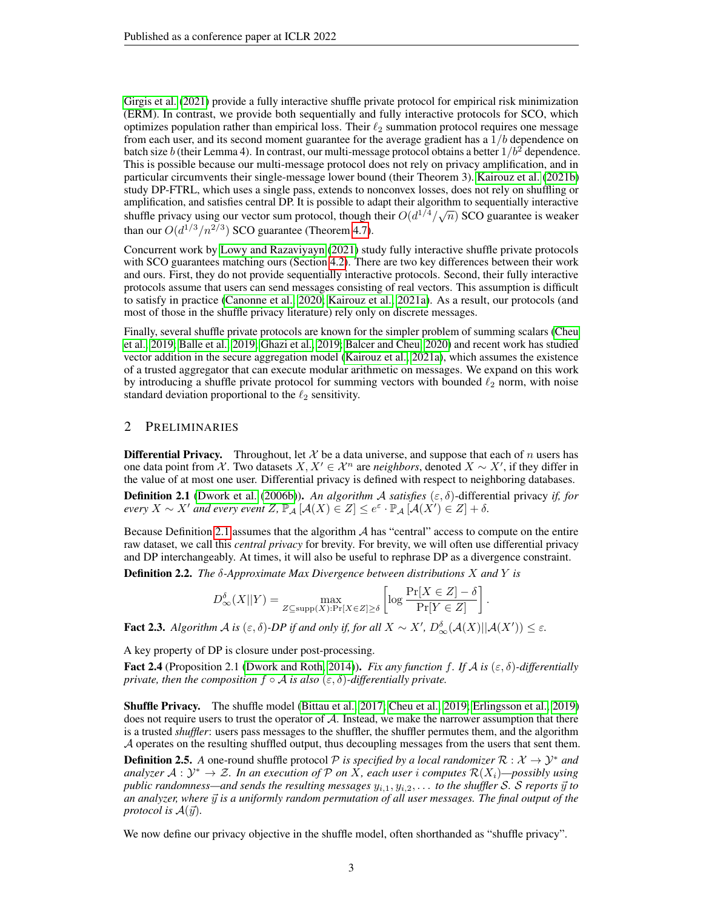[Girgis et al.](#page-11-12) [\(2021\)](#page-11-12) provide a fully interactive shuffle private protocol for empirical risk minimization (ERM). In contrast, we provide both sequentially and fully interactive protocols for SCO, which optimizes population rather than empirical loss. Their  $\ell_2$  summation protocol requires one message from each user, and its second moment guarantee for the average gradient has a  $1/b$  dependence on batch size b (their Lemma 4). In contrast, our multi-message protocol obtains a better  $1/b^2$  dependence. This is possible because our multi-message protocol does not rely on privacy amplification, and in particular circumvents their single-message lower bound (their Theorem 3). [Kairouz et al.](#page-11-8) [\(2021b\)](#page-11-8) study DP-FTRL, which uses a single pass, extends to nonconvex losses, does not rely on shuffling or amplification, and satisfies central DP. It is possible to adapt their algorithm to sequentially interactive shuffle privacy using our vector sum protocol, though their  $O(d^{1/4}/\sqrt{n})$  SCO guarantee is weaker than our  $O(d^{1/3}/n^{2/3})$  SCO guarantee (Theorem [4.7\)](#page-7-0).

Concurrent work by [Lowy and Razaviyayn](#page-11-1) [\(2021\)](#page-11-1) study fully interactive shuffle private protocols with SCO guarantees matching ours (Section [4.2\)](#page-8-2). There are two key differences between their work and ours. First, they do not provide sequentially interactive protocols. Second, their fully interactive protocols assume that users can send messages consisting of real vectors. This assumption is difficult to satisfy in practice [\(Canonne et al., 2020;](#page-10-12) [Kairouz et al., 2021a\)](#page-11-13). As a result, our protocols (and most of those in the shuffle privacy literature) rely only on discrete messages.

Finally, several shuffle private protocols are known for the simpler problem of summing scalars [\(Cheu](#page-10-6) [et al., 2019;](#page-10-6) [Balle et al., 2019;](#page-10-8) [Ghazi et al., 2019;](#page-11-14) [Balcer and Cheu, 2020\)](#page-10-9) and recent work has studied vector addition in the secure aggregation model [\(Kairouz et al., 2021a\)](#page-11-13), which assumes the existence of a trusted aggregator that can execute modular arithmetic on messages. We expand on this work by introducing a shuffle private protocol for summing vectors with bounded  $\ell_2$  norm, with noise standard deviation proportional to the  $\ell_2$  sensitivity.

## 2 PRELIMINARIES

**Differential Privacy.** Throughout, let X be a data universe, and suppose that each of n users has one data point from X. Two datasets  $X, X' \in \mathcal{X}^n$  are *neighbors*, denoted  $X \sim X'$ , if they differ in the value of at most one user. Differential privacy is defined with respect to neighboring databases.

<span id="page-2-0"></span>Definition 2.1 [\(Dwork et al.](#page-10-0) [\(2006b\)](#page-10-0)). *An algorithm* A *satisfies* (ε, δ)-differential privacy *if, for*  $\mathit{every} \ X \sim X'$  and every event  $Z$ ,  $\mathbb{P}_\mathcal{A}\left[\mathcal{A}(X) \in Z\right] \leq e^\varepsilon \cdot \mathbb{P}_\mathcal{A}\left[\mathcal{A}(X') \in Z\right] + \delta.$ 

Because Definition [2.1](#page-2-0) assumes that the algorithm  $A$  has "central" access to compute on the entire raw dataset, we call this *central privacy* for brevity. For brevity, we will often use differential privacy and DP interchangeably. At times, it will also be useful to rephrase DP as a divergence constraint.

Definition 2.2. *The* δ*-Approximate Max Divergence between distributions* X *and* Y *is*

$$
D_{\infty}^{\delta}(X||Y) = \max_{Z \subseteq \text{supp}(X): \Pr[X \in Z] \ge \delta} \left[ \log \frac{\Pr[X \in Z] - \delta}{\Pr[Y \in Z]} \right].
$$

<span id="page-2-1"></span>**Fact 2.3.** Algorithm  $\mathcal A$  is  $(\varepsilon, \delta)$ -DP if and only if, for all  $X \sim X'$ ,  $D^{\delta}_{\infty}(\mathcal A(X)||\mathcal A(X')) \leq \varepsilon$ .

A key property of DP is closure under post-processing.

Fact 2.4 (Proposition 2.1 [\(Dwork and Roth, 2014\)](#page-10-13)). *Fix any function* f. If  $\mathcal A$  is  $(\varepsilon, \delta)$ -differentially *private, then the composition*  $f \circ A$  *is also*  $(\varepsilon, \delta)$ *-differentially private.* 

Shuffle Privacy. The shuffle model [\(Bittau et al., 2017;](#page-10-7) [Cheu et al., 2019;](#page-10-6) [Erlingsson et al., 2019\)](#page-11-4) does not require users to trust the operator of  $A$ . Instead, we make the narrower assumption that there is a trusted *shuffler*: users pass messages to the shuffler, the shuffler permutes them, and the algorithm A operates on the resulting shuffled output, thus decoupling messages from the users that sent them.

**Definition 2.5.** A one-round shuffle protocol P is specified by a local randomizer  $\mathcal{R}: \mathcal{X} \to \mathcal{Y}^*$  and analyzer  $A: \mathcal{Y}^* \to \mathcal{Z}$ . In an execution of  $\mathcal P$  on  $\bar X$ , each user i computes  $\mathcal R(X_i)$ —possibly using *public randomness—and sends the resulting messages*  $y_{i,1}, y_{i,2}, \ldots$  *to the shuffler* S. S *reports*  $\vec{y}$  *to an analyzer, where*  $\vec{y}$  *is a uniformly random permutation of all user messages. The final output of the protocol is*  $\mathcal{A}(\vec{y})$ *.* 

We now define our privacy objective in the shuffle model, often shorthanded as "shuffle privacy".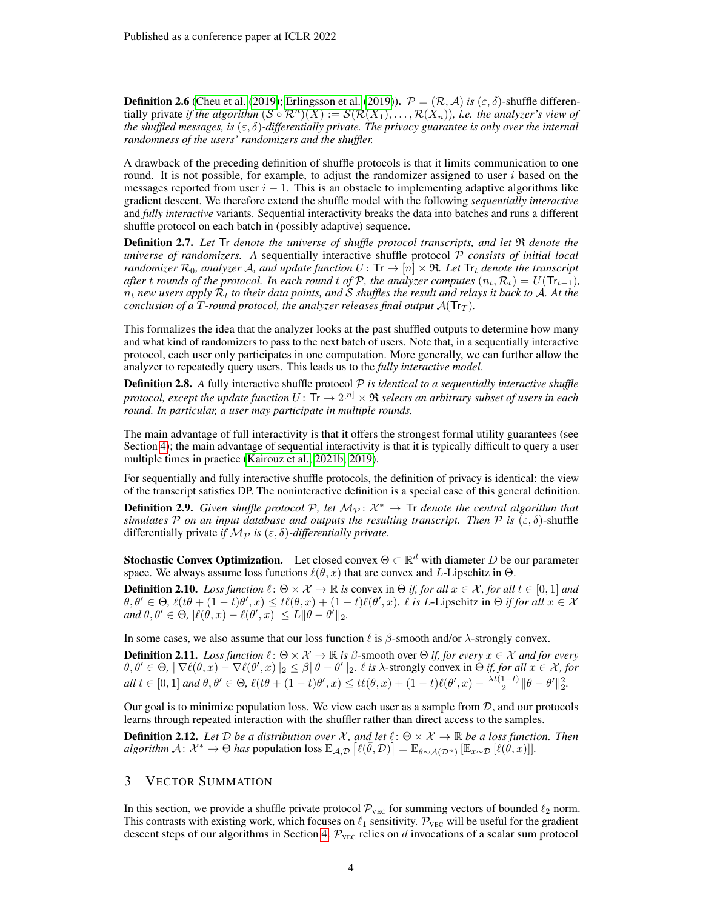**Definition 2.6** [\(Cheu et al.](#page-10-6) [\(2019\)](#page-11-4); [Erlingsson et al.](#page-11-4) (2019)).  $\mathcal{P} = (\mathcal{R}, \mathcal{A})$  *is* ( $\varepsilon, \delta$ )-shuffle differentially private *if the algorithm*  $(S \circ \mathcal{R}^n)(X) := \mathcal{S}(\mathcal{R}(X_1), \ldots, \mathcal{R}(X_n))$ *, i.e. the analyzer's view of the shuffled messages, is*  $(\varepsilon, \delta)$ -differentially private. The privacy guarantee is only over the internal *randomness of the users' randomizers and the shuffler.*

A drawback of the preceding definition of shuffle protocols is that it limits communication to one round. It is not possible, for example, to adjust the randomizer assigned to user  $i$  based on the messages reported from user  $i - 1$ . This is an obstacle to implementing adaptive algorithms like gradient descent. We therefore extend the shuffle model with the following *sequentially interactive* and *fully interactive* variants. Sequential interactivity breaks the data into batches and runs a different shuffle protocol on each batch in (possibly adaptive) sequence.

Definition 2.7. *Let* Tr *denote the universe of shuffle protocol transcripts, and let* R *denote the universe of randomizers. A* sequentially interactive shuffle protocol P *consists of initial local randomizer*  $\mathcal{R}_0$ *, analyzer* A*, and update function*  $U:$  Tr  $\rightarrow$   $[n] \times \Re$ *. Let* Tr<sub>t</sub> denote the transcript *after* t *rounds of the protocol. In each round* t *of*  $P$ *, the analyzer computes*  $(n_t, R_t) = U(Tr_{t-1})$ *,*  $n_t$  *new users apply*  $\mathcal{R}_t$  *to their data points, and S shuffles the result and relays it back to A. At the conclusion of a* T-round protocol, the analyzer releases final output  $A(\text{Tr}_{T})$ .

This formalizes the idea that the analyzer looks at the past shuffled outputs to determine how many and what kind of randomizers to pass to the next batch of users. Note that, in a sequentially interactive protocol, each user only participates in one computation. More generally, we can further allow the analyzer to repeatedly query users. This leads us to the *fully interactive model*.

**Definition 2.8.** A fully interactive shuffle protocol  $P$  *is identical to a sequentially interactive shuffle* protocol, except the update function  $U\colon\mathsf{Tr}\to 2^{[n]}\times\mathfrak{R}$  selects an arbitrary subset of users in each *round. In particular, a user may participate in multiple rounds.*

The main advantage of full interactivity is that it offers the strongest formal utility guarantees (see Section [4\)](#page-5-0); the main advantage of sequential interactivity is that it is typically difficult to query a user multiple times in practice [\(Kairouz et al., 2021b;](#page-11-8) [2019\)](#page-11-9).

For sequentially and fully interactive shuffle protocols, the definition of privacy is identical: the view of the transcript satisfies DP. The noninteractive definition is a special case of this general definition.

**Definition 2.9.** Given shuffle protocol  $P$ , let  $M_P: \mathcal{X}^* \to$  Tr denote the central algorithm that *simulates* P *on an input database and outputs the resulting transcript. Then* P *is*  $(\varepsilon, \delta)$ -shuffle differentially private *if*  $M_{\mathcal{P}}$  *is* ( $\varepsilon$ ,  $\delta$ )-differentially private.

**Stochastic Convex Optimization.** Let closed convex  $\Theta \subset \mathbb{R}^d$  with diameter D be our parameter space. We always assume loss functions  $\ell(\theta, x)$  that are convex and L-Lipschitz in  $\Theta$ .

**Definition 2.10.** *Loss function*  $\ell : \Theta \times \mathcal{X} \to \mathbb{R}$  *is* convex in  $\Theta$  *if, for all*  $x \in \mathcal{X}$ *, for all*  $t \in [0,1]$  *and*  $\theta, \theta' \in \Theta$ ,  $\ell(t\theta + (1-t)\theta', x) \leq t\ell(\theta, x) + (1-t)\ell(\theta', x)$ .  $\ell$  *is L*-Lipschitz in  $\Theta$  *if for all*  $x \in \mathcal{X}$  $and \theta, \theta' \in \Theta, |\ell(\theta, x) - \ell(\theta', x)| \leq L \|\theta - \theta'\|_2.$ 

In some cases, we also assume that our loss function  $\ell$  is  $\beta$ -smooth and/or  $\lambda$ -strongly convex.

**Definition 2.11.** *Loss function*  $\ell : \Theta \times \mathcal{X} \to \mathbb{R}$  *is*  $\beta$ -smooth over  $\Theta$  *if, for every*  $x \in \mathcal{X}$  *and for every*  $\theta, \theta' \in \Theta$ ,  $\|\nabla \ell(\theta, x) - \nabla \ell(\theta', x)\|_2 \leq \beta \|\theta - \theta'\|_2$ .  $\ell$  is  $\lambda$ -strongly convex in  $\Theta$  if, for all  $x \in \mathcal{X}$ , for  $all t \in [0,1]$  and  $\theta, \theta' \in \Theta$ ,  $\ell(t\theta + (1-t)\theta', x) \leq t\ell(\theta, x) + (1-t)\ell(\theta', x) - \frac{\lambda t(1-t)}{2}$  $\frac{1-t}{2} \|\theta - \theta'\|_2^2.$ 

Our goal is to minimize population loss. We view each user as a sample from  $D$ , and our protocols learns through repeated interaction with the shuffler rather than direct access to the samples.

**Definition 2.12.** Let  $D$  be a distribution over  $X$ , and let  $\ell : \Theta \times X \to \mathbb{R}$  be a loss function. Then  $algorithm \mathcal{A} \colon \mathcal{X}^* \to \Theta$  has population loss  $\mathbb{E}_{\mathcal{A}, \mathcal{D}} \left[ \ell(\bar{\theta}, \mathcal{D}) \right] = \mathbb{E}_{\theta \sim \mathcal{A}(\mathcal{D}^n)} \left[ \mathbb{E}_{x \sim \mathcal{D}} \left[ \ell(\check{\theta}, x) \right] \right]$ .

# 3 VECTOR SUMMATION

In this section, we provide a shuffle private protocol  $\mathcal{P}_{\text{VEC}}$  for summing vectors of bounded  $\ell_2$  norm. This contrasts with existing work, which focuses on  $\ell_1$  sensitivity.  $\mathcal{P}_{\text{VEC}}$  will be useful for the gradient descent steps of our algorithms in Section [4.](#page-5-0)  $P_{\text{VEC}}$  relies on d invocations of a scalar sum protocol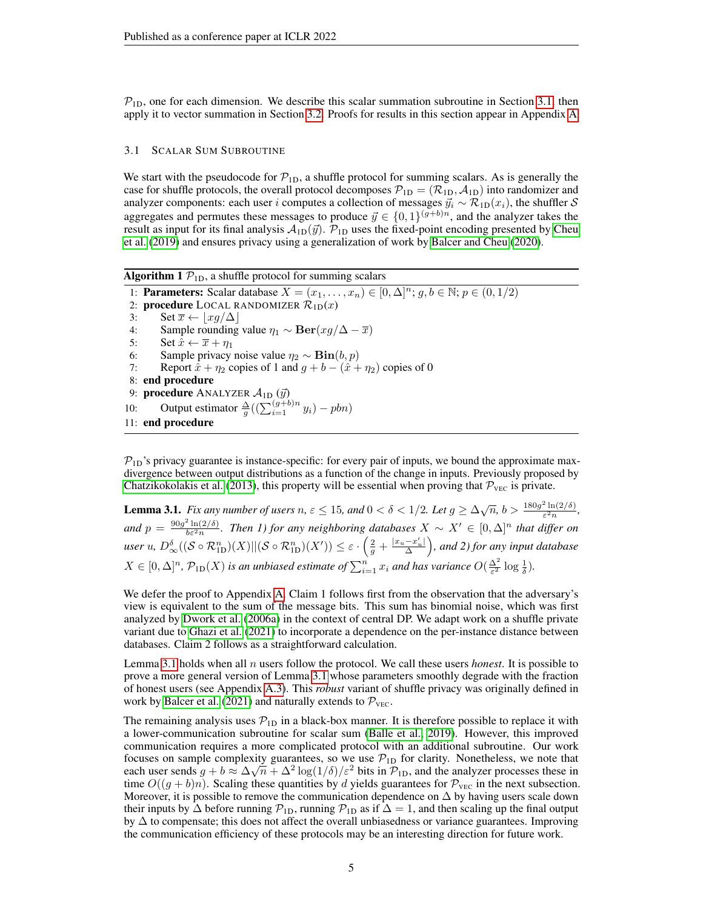$P_{1D}$ , one for each dimension. We describe this scalar summation subroutine in Section [3.1,](#page-4-0) then apply it to vector summation in Section [3.2.](#page-5-1) Proofs for results in this section appear in Appendix [A](#page-12-0)

## <span id="page-4-0"></span>3.1 SCALAR SUM SUBROUTINE

We start with the pseudocode for  $\mathcal{P}_{1D}$ , a shuffle protocol for summing scalars. As is generally the case for shuffle protocols, the overall protocol decomposes  $\mathcal{P}_{1D} = (\mathcal{R}_{1D}, \mathcal{A}_{1D})$  into randomizer and analyzer components: each user *i* computes a collection of messages  $\vec{y}_i \sim \mathcal{R}_{1D}(x_i)$ , the shuffler S aggregates and permutes these messages to produce  $\vec{y} \in \{0, 1\}^{(g+b)n}$ , and the analyzer takes the result as input for its final analysis  $\mathcal{A}_{1D}(\vec{y})$ .  $\mathcal{P}_{1D}$  uses the fixed-point encoding presented by [Cheu](#page-10-6) [et al.](#page-10-6) [\(2019\)](#page-10-6) and ensures privacy using a generalization of work by [Balcer and Cheu](#page-10-9) [\(2020\)](#page-10-9).

Algorithm 1  $P_{1D}$ , a shuffle protocol for summing scalars

1: **Parameters:** Scalar database  $X = (x_1, \ldots, x_n) \in [0, \Delta]^n$ ;  $g, b \in \mathbb{N}$ ;  $p \in (0, 1/2)$ 2: **procedure** LOCAL RANDOMIZER  $\mathcal{R}_{1D}(x)$ 3: Set  $\overline{x} \leftarrow |xq/\Delta|$ 4: Sample rounding value  $\eta_1 \sim \textbf{Ber}(xg/\Delta - \overline{x})$ <br>5: Set  $\hat{x} \leftarrow \overline{x} + \eta_1$ Set  $\hat{x} \leftarrow \overline{x} + \eta_1$ 6: Sample privacy noise value  $\eta_2 \sim \text{Bin}(b, p)$ 7: Report  $\hat{x} + \eta_2$  copies of 1 and  $q + b - (\hat{x} + \eta_2)$  copies of 0 8: end procedure 9:  $\,$ procedure <code>ANALYZER</code>  $\mathcal{A}_{\text{1D}}\left(\vec{y}\right)$ 10: Output estimator  $\frac{\Delta}{g}((\sum_{i=1}^{(g+b)n} y_i) - pbn)$ 11: end procedure

 $P_{1D}$ 's privacy guarantee is instance-specific: for every pair of inputs, we bound the approximate maxdivergence between output distributions as a function of the change in inputs. Previously proposed by [Chatzikokolakis et al.](#page-10-14) [\(2013\)](#page-10-14), this property will be essential when proving that  $P_{\text{VEC}}$  is private.

<span id="page-4-1"></span>**Lemma 3.1.** *Fix any number of users*  $n, \varepsilon \le 15$ , and  $0 < \delta < 1/2$ . Let  $g \ge \Delta \sqrt{n}$ ,  $b > \frac{180g^2 \ln(2/\delta)}{\varepsilon^2 n}$  $\varepsilon^2 n$ *, and*  $p = \frac{90g^2 \ln(2/\delta)}{b\varepsilon^2 n}$ *. Then 1) for any neighboring databases*  $X \sim X' \in [0, \Delta]^n$  *that differ on*  $u$ ser  $u$ ,  $D^{\delta}_\infty((\mathcal{S} \circ \mathcal{R}^n_{\mathrm{1D}})(X) || (\mathcal{S} \circ \mathcal{R}^n_{\mathrm{1D}})(X')) \leq \varepsilon \cdot \left( \frac{2}{g} + \frac{|x_u - x'_u|}{\Delta} \right)$ , and 2) for any input database  $X \in [0, \Delta]^n$ ,  $\mathcal{P}_{1D}(X)$  *is an unbiased estimate of*  $\sum_{i=1}^n x_i$  *and has variance*  $O(\frac{\Delta^2}{\varepsilon^2} \log \frac{1}{\delta})$ *.* 

We defer the proof to Appendix [A.](#page-12-0) Claim 1 follows first from the observation that the adversary's view is equivalent to the sum of the message bits. This sum has binomial noise, which was first analyzed by [Dwork et al.](#page-10-15) [\(2006a\)](#page-10-15) in the context of central DP. We adapt work on a shuffle private variant due to [Ghazi et al.](#page-11-5) [\(2021\)](#page-11-5) to incorporate a dependence on the per-instance distance between databases. Claim 2 follows as a straightforward calculation.

Lemma [3.1](#page-4-1) holds when all  $n$  users follow the protocol. We call these users *honest*. It is possible to prove a more general version of Lemma [3.1](#page-4-1) whose parameters smoothly degrade with the fraction of honest users (see Appendix [A.3\)](#page-16-0). This *robust* variant of shuffle privacy was originally defined in work by [Balcer et al.](#page-10-10) [\(2021\)](#page-10-10) and naturally extends to  $P_{\text{VEC}}$ .

The remaining analysis uses  $\mathcal{P}_{1D}$  in a black-box manner. It is therefore possible to replace it with a lower-communication subroutine for scalar sum [\(Balle et al., 2019\)](#page-10-8). However, this improved communication requires a more complicated protocol with an additional subroutine. Our work focuses on sample complexity guarantees, so we use  $\mathcal{P}_{1D}$  for clarity. Nonetheless, we note that each user sends  $g + b \approx \Delta \sqrt{n} + \Delta^2 \log(1/\delta)/\varepsilon^2$  bits in  $\mathcal{P}_{1D}$ , and the analyzer processes these in time  $O((g + b)n)$ . Scaling these quantities by d yields guarantees for  $\mathcal{P}_{\text{VEC}}$  in the next subsection. Moreover, it is possible to remove the communication dependence on  $\Delta$  by having users scale down their inputs by  $\Delta$  before running  $\mathcal{P}_{1D}$ , running  $\mathcal{P}_{1D}$  as if  $\Delta = 1$ , and then scaling up the final output by ∆ to compensate; this does not affect the overall unbiasedness or variance guarantees. Improving the communication efficiency of these protocols may be an interesting direction for future work.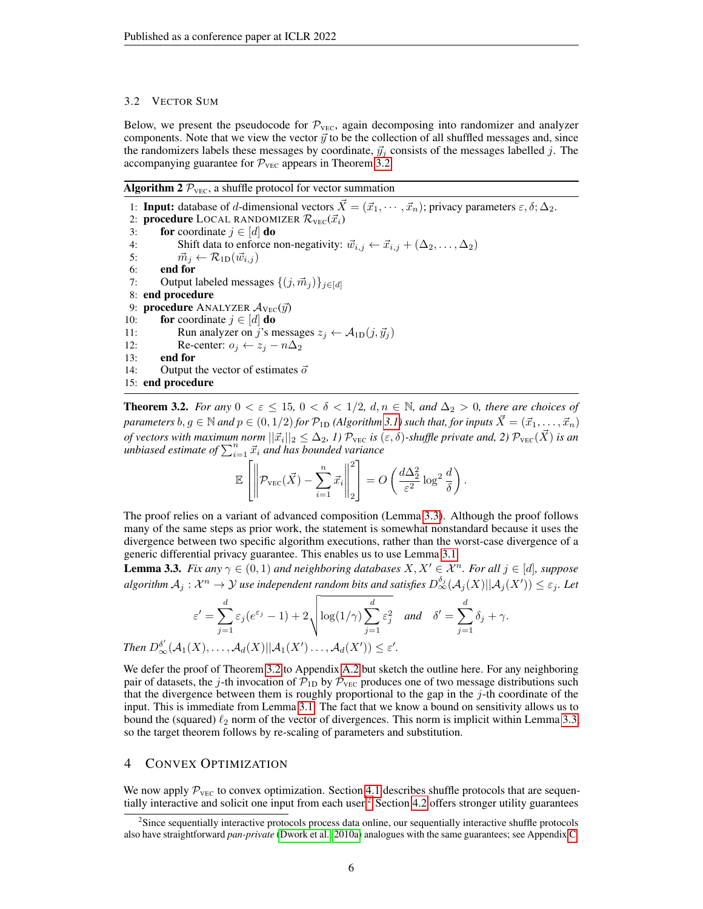#### <span id="page-5-1"></span>3.2 VECTOR SUM

Below, we present the pseudocode for  $\mathcal{P}_{\text{VEC}}$ , again decomposing into randomizer and analyzer components. Note that we view the vector  $\vec{y}$  to be the collection of all shuffled messages and, since the randomizers labels these messages by coordinate,  $\vec{y}_j$  consists of the messages labelled j. The accompanying guarantee for  $P_{\text{VEC}}$  appears in Theorem [3.2.](#page-5-2)

# Algorithm 2  $P_{\text{VEC}}$ , a shuffle protocol for vector summation

1: **Input:** database of d-dimensional vectors  $\vec{X} = (\vec{x}_1, \dots, \vec{x}_n)$ ; privacy parameters  $\varepsilon, \delta; \Delta_2$ . 2: **procedure** LOCAL RANDOMIZER  $\mathcal{R}_{\text{VEC}}(\vec{x}_i)$ 3: for coordinate  $j \in [d]$  do 4: Shift data to enforce non-negativity:  $\vec{w}_{i,j} \leftarrow \vec{x}_{i,j} + (\Delta_2, \dots, \Delta_2)$ <br>5:  $\vec{m}_i \leftarrow \mathcal{R}_{1D}(\vec{w}_{i,i})$  $\vec{m}_j \leftarrow \mathcal{R}_{1D}(\vec{w}_{i,j})$ 6: end for 7: Output labeled messages  $\{(j, \vec{m}_j)\}_{j \in [d]}$ 8: end procedure 9: **procedure** ANALYZER  $\mathcal{A}_{\text{Vec}}(\vec{y})$ 10: **for** coordinate  $j \in [d]$  **do** 11: Run analyzer on j's messages  $z_j \leftarrow A_{1D}(j, \vec{y}_j)$ 12: Re-center:  $o_j \leftarrow z_j - n\Delta_2$ <br>13: **end for** end for 14: Output the vector of estimates  $\vec{o}$ 15: end procedure

<span id="page-5-2"></span>**Theorem 3.2.** *For any*  $0 < \varepsilon \le 15$ ,  $0 < \delta < 1/2$ ,  $d, n \in \mathbb{N}$ , and  $\Delta_2 > 0$ , there are choices of *parameters*  $b, g \in \mathbb{N}$  *and*  $p \in (0, 1/2)$  *for*  $\mathcal{P}_{1D}$  *(Algorithm [3.1\)](#page-4-0) such that, for inputs*  $\vec{X} = (\vec{x}_1, \dots, \vec{x}_n)$ of vectors with maximum norm  $||\vec{x_i}||_2 \leq \Delta_2$ , 1)  $\mathcal{P}_{\rm{VEC}}$  is  $(\varepsilon,\delta)$ -shuffle private and, 2)  $\mathcal{P}_{\rm{VEC}}(\vec{X})$  is an *unbiased estimate of*  $\sum_{i=1}^{n} \vec{x}_i$  *and has bounded variance* 

$$
\mathbb{E}\left[\left\|\mathcal{P}_{\text{VEC}}(\vec{X}) - \sum_{i=1}^{n} \vec{x}_i\right\|_2^2\right] = O\left(\frac{d\Delta_2^2}{\varepsilon^2} \log^2 \frac{d}{\delta}\right).
$$

The proof relies on a variant of advanced composition (Lemma [3.3\)](#page-5-3). Although the proof follows many of the same steps as prior work, the statement is somewhat nonstandard because it uses the divergence between two specific algorithm executions, rather than the worst-case divergence of a generic differential privacy guarantee. This enables us to use Lemma [3.1.](#page-4-1)

<span id="page-5-3"></span>**Lemma 3.3.** *Fix any*  $\gamma \in (0, 1)$  *and neighboring databases*  $X, X' \in \mathcal{X}^n$ *. For all*  $j \in [d]$ *, suppose*  $algorithm A_j: \mathcal{X}^n \to \mathcal{Y}$  use independent random bits and satisfies  $D_{\infty}^{\delta_j}(\mathcal{A}_j(X)||\mathcal{A}_j(X')) \leq \varepsilon_j$ . Let

$$
\varepsilon' = \sum_{j=1}^d \varepsilon_j (e^{\varepsilon_j} - 1) + 2 \sqrt{\log(1/\gamma) \sum_{j=1}^d \varepsilon_j^2} \quad \text{and} \quad \delta' = \sum_{j=1}^d \delta_j + \gamma.
$$
  
Then  $D_\infty^{\delta'}(\mathcal{A}_1(X), \dots, \mathcal{A}_d(X) || \mathcal{A}_1(X') \dots, \mathcal{A}_d(X')) \le \varepsilon'.$ 

We defer the proof of Theorem [3.2](#page-5-2) to Appendix [A.2](#page-14-0) but sketch the outline here. For any neighboring pair of datasets, the j-th invocation of  $\mathcal{P}_{1D}$  by  $\mathcal{P}_{\text{VEC}}$  produces one of two message distributions such that the divergence between them is roughly proportional to the gap in the  $j$ -th coordinate of the input. This is immediate from Lemma [3.1.](#page-4-1) The fact that we know a bound on sensitivity allows us to bound the (squared)  $\ell_2$  norm of the vector of divergences. This norm is implicit within Lemma [3.3,](#page-5-3) so the target theorem follows by re-scaling of parameters and substitution.

# <span id="page-5-0"></span>4 CONVEX OPTIMIZATION

We now apply  $\mathcal{P}_{\text{VEC}}$  to convex optimization. Section [4.1](#page-6-1) describes shuffle protocols that are sequentially interactive and solicit one input from each user.[2](#page-5-4) Section [4.2](#page-8-2) offers stronger utility guarantees

<span id="page-5-4"></span><sup>&</sup>lt;sup>2</sup>Since sequentially interactive protocols process data online, our sequentially interactive shuffle protocols also have straightforward *pan-private* [\(Dwork et al., 2010a\)](#page-11-15) analogues with the same guarantees; see Appendix [C.](#page-24-0)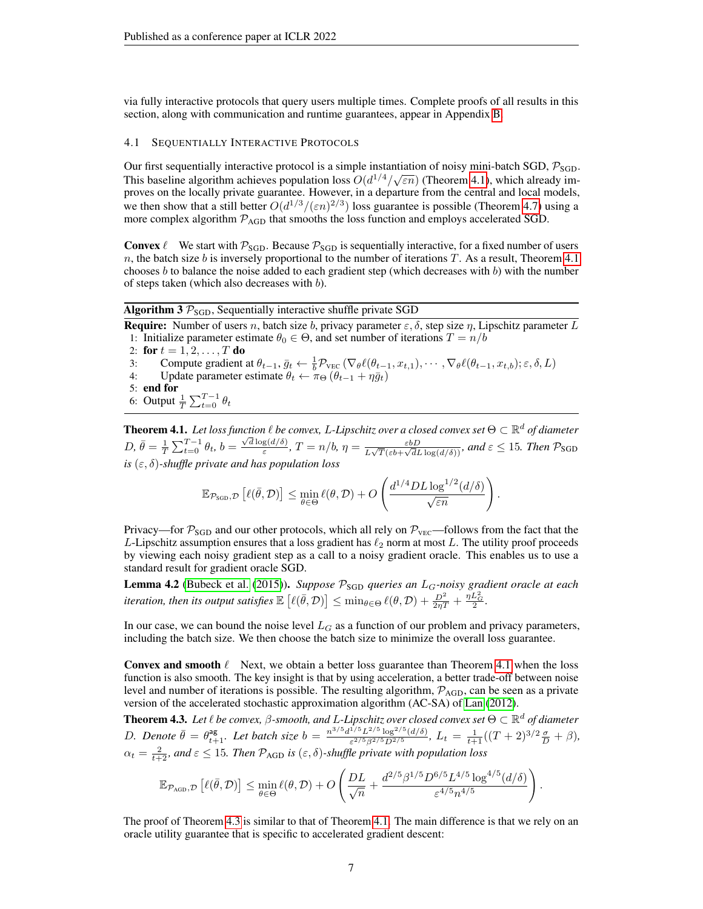via fully interactive protocols that query users multiple times. Complete proofs of all results in this section, along with communication and runtime guarantees, appear in Appendix [B.](#page-18-0)

## <span id="page-6-1"></span>4.1 SEQUENTIALLY INTERACTIVE PROTOCOLS

Our first sequentially interactive protocol is a simple instantiation of noisy mini-batch SGD,  $\mathcal{P}_{\text{SGD}}$ . This baseline algorithm achieves population loss  $O(d^{1/4}/\sqrt{\varepsilon n})$  (Theorem [4.1\)](#page-6-2), which already improves on the locally private guarantee. However, in a departure from the central and local models, we then show that a still better  $O(d^{1/3}/(\varepsilon n)^{2/3})$  loss guarantee is possible (Theorem [4.7\)](#page-7-0) using a more complex algorithm  $P_{AGD}$  that smooths the loss function and employs accelerated SGD.

**Convex**  $\ell$  We start with  $\mathcal{P}_{SGD}$ . Because  $\mathcal{P}_{SGD}$  is sequentially interactive, for a fixed number of users  $n$ , the batch size  $b$  is inversely proportional to the number of iterations  $T$ . As a result, Theorem [4.1](#page-6-2) chooses  $b$  to balance the noise added to each gradient step (which decreases with  $b$ ) with the number of steps taken (which also decreases with  $b$ ).

Algorithm 3  $P_{SGD}$ , Sequentially interactive shuffle private SGD

**Require:** Number of users n, batch size b, privacy parameter  $\varepsilon$ ,  $\delta$ , step size  $\eta$ , Lipschitz parameter L 1: Initialize parameter estimate  $\theta_0 \in \Theta$ , and set number of iterations  $T = n/b$ 

2: for  $t = 1, 2, ..., T$  do

- 3: Compute gradient at  $\theta_{t-1}, \bar{g}_t \leftarrow \frac{1}{b} \mathcal{P}_{\text{VEC}}(\nabla_{\theta} \ell(\theta_{t-1}, x_{t,1}), \cdots, \nabla_{\theta} \ell(\theta_{t-1}, x_{t,b}); \varepsilon, \delta, L)$
- 4: Update parameter estimate  $\theta_t \leftarrow \pi_{\Theta} (\theta_{t-1} + \eta \bar{g}_t)$
- 5: end for
- 6: Output  $\frac{1}{T} \sum_{t=0}^{T-1} \theta_t$

<span id="page-6-2"></span>**Theorem 4.1.** Let loss function  $\ell$  be convex, L-Lipschitz over a closed convex set  $\Theta \subset \mathbb{R}^d$  of diameter  $D, \bar{\theta} = \frac{1}{T} \sum_{t=0}^{T-1} \theta_t, b = \frac{\sqrt{d} \log(d/\delta)}{\varepsilon}$  $\frac{g(d/\delta)}{\varepsilon}$ ,  $T = n/b$ ,  $\eta = \frac{\varepsilon bD}{L\sqrt{T}(\varepsilon b + \sqrt{d}L)}$  $\frac{\varepsilon bD}{L\sqrt{T}(\varepsilon b+\sqrt{d}L\log(d/\delta))}$ , and  $\varepsilon \leq 15$ . Then  $\mathcal{P}_{\text{SGD}}$ *is*  $(\varepsilon, \delta)$ -shuffle private and has population loss

$$
\mathbb{E}_{\mathcal{P}_{\text{SGD}}, \mathcal{D}}\left[\ell(\bar{\theta}, \mathcal{D})\right] \le \min_{\theta \in \Theta} \ell(\theta, \mathcal{D}) + O\left(\frac{d^{1/4} D L \log^{1/2}(d/\delta)}{\sqrt{\varepsilon n}}\right).
$$

Privacy—for  $P_{SGD}$  and our other protocols, which all rely on  $P_{VEC}$ —follows from the fact that the L-Lipschitz assumption ensures that a loss gradient has  $\ell_2$  norm at most L. The utility proof proceeds by viewing each noisy gradient step as a call to a noisy gradient oracle. This enables us to use a standard result for gradient oracle SGD.

<span id="page-6-3"></span>Lemma 4.2 [\(Bubeck et al.](#page-10-16) [\(2015\)](#page-10-16)). *Suppose*  $P_{SGD}$  *queries an L<sub>G</sub>-noisy gradient oracle at each iteration, then its output satisfies*  $\mathbb{E}\left[\ell(\bar{\theta}, \mathcal{D})\right] \leq \min_{\theta \in \Theta} \ell(\theta, \mathcal{D}) + \frac{D^2}{2\eta T} + \frac{\eta L^2_G}{2}.$ 

In our case, we can bound the noise level  $L_G$  as a function of our problem and privacy parameters, including the batch size. We then choose the batch size to minimize the overall loss guarantee.

**Convex and smooth**  $\ell$  Next, we obtain a better loss guarantee than Theorem [4.1](#page-6-2) when the loss function is also smooth. The key insight is that by using acceleration, a better trade-off between noise level and number of iterations is possible. The resulting algorithm,  $P_{AGD}$ , can be seen as a private version of the accelerated stochastic approximation algorithm (AC-SA) of [Lan](#page-11-16) [\(2012\)](#page-11-16).

<span id="page-6-0"></span>Theorem 4.3. *Let* ` *be convex,* β*-smooth, and* L*-Lipschitz over closed convex set* Θ ⊂ R <sup>d</sup> *of diameter* D. Denote  $\bar{\theta} = \theta_{t+1}^{ag}$ . Let batch size  $b = \frac{n^{3/5} d^{1/5} L^{2/5} \log^{2/5} (d/\delta)}{\varepsilon^{2/5} \beta^{2/5} D^{2/5}}$  $\frac{1}{\epsilon^{2/5} \beta^{2/5} D^{2/5}} \frac{\log^{2/5} (d/\delta)}{D^{2/5}}$ ,  $L_t = \frac{1}{t+1} ((T+2)^{3/2} \frac{\sigma}{D} + \beta)$ ,  $\alpha_t = \frac{2}{t+2}$ , and  $\varepsilon \le 15$ . Then  $\mathcal{P}_{AGD}$  is  $(\varepsilon, \delta)$ -shuffle private with population loss

$$
\mathbb{E}_{\mathcal{P}_{\text{AGD}},\mathcal{D}}\left[\ell(\bar{\theta},\mathcal{D})\right] \leq \min_{\theta \in \Theta} \ell(\theta,\mathcal{D}) + O\left(\frac{DL}{\sqrt{n}} + \frac{d^{2/5}\beta^{1/5}D^{6/5}L^{4/5}\log^{4/5}(d/\delta)}{\varepsilon^{4/5}n^{4/5}}\right).
$$

The proof of Theorem [4.3](#page-6-0) is similar to that of Theorem [4.1.](#page-6-2) The main difference is that we rely on an oracle utility guarantee that is specific to accelerated gradient descent: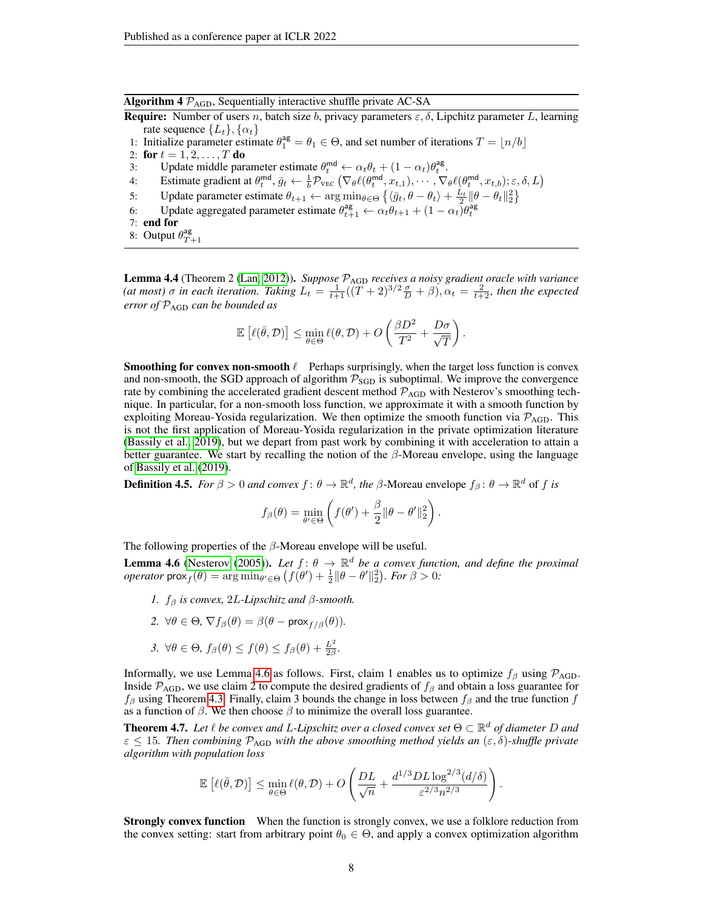Algorithm 4  $\mathcal{P}_{AGD}$ , Sequentially interactive shuffle private AC-SA

**Require:** Number of users n, batch size b, privacy parameters  $\varepsilon$ ,  $\delta$ , Lipchitz parameter L, learning rate sequence  $\{L_t\}, \{\alpha_t\}$ 

- 1: Initialize parameter estimate  $\theta_1^{\text{ag}} = \theta_1 \in \Theta$ , and set number of iterations  $T = \lfloor n/b \rfloor$
- 2: for  $t = 1, 2, ..., T$  do
- 3: Update middle parameter estimate  $\theta_t^{\text{md}} \leftarrow \alpha_t \theta_t + (1 \alpha_t) \theta_t^{\text{ag}}$ .
- 4: Estimate gradient at  $\theta_t^{\text{md}}, \bar{g}_t \leftarrow \frac{1}{b} \mathcal{P}_{\text{VEC}} \left( \nabla_{\theta} \ell(\theta_t^{\text{md}}, x_{t,1}), \cdots, \nabla_{\theta} \ell(\theta_t^{\text{md}}, x_{t,b}); \varepsilon, \delta, L \right)$
- 5: Update parameter estimate  $\theta_{t+1} \leftarrow \arg \min_{\theta \in \Theta} \left\{ \langle \bar{g}_t, \theta \theta_t \rangle + \frac{L_t}{2} || \theta \theta_t ||_2^2 \right\}$
- 6: Update aggregated parameter estimate  $\theta_{t+1}^{\text{ag}} \leftarrow \alpha_t \theta_{t+1} + (1 \alpha_t) \theta_t^{\text{ag}}$
- 7: end for
- 8: Output  $\theta_{T+1}^{\text{ag}}$

<span id="page-7-2"></span>Lemma 4.4 (Theorem 2 [\(Lan, 2012\)](#page-11-16)). *Suppose* PAGD *receives a noisy gradient oracle with variance* (at most)  $\sigma$  in each iteration. Taking  $L_t = \frac{1}{t+1}((T+2)^{3/2}\frac{\sigma}{D} + \beta)$ ,  $\alpha_t = \frac{2}{t+2}$ , then the expected *error of* PAGD *can be bounded as*

$$
\mathbb{E}\left[\ell(\bar{\theta},\mathcal{D})\right] \leq \min_{\theta \in \Theta} \ell(\theta,\mathcal{D}) + O\left(\frac{\beta D^2}{T^2} + \frac{D\sigma}{\sqrt{T}}\right).
$$

**Smoothing for convex non-smooth**  $\ell$  Perhaps surprisingly, when the target loss function is convex and non-smooth, the SGD approach of algorithm  $P_{\text{SGD}}$  is suboptimal. We improve the convergence rate by combining the accelerated gradient descent method  $\mathcal{P}_{AGD}$  with Nesterov's smoothing technique. In particular, for a non-smooth loss function, we approximate it with a smooth function by exploiting Moreau-Yosida regularization. We then optimize the smooth function via  $\mathcal{P}_{AGD}$ . This is not the first application of Moreau-Yosida regularization in the private optimization literature [\(Bassily et al., 2019\)](#page-10-2), but we depart from past work by combining it with acceleration to attain a better guarantee. We start by recalling the notion of the  $\beta$ -Moreau envelope, using the language of [Bassily et al.](#page-10-2) [\(2019\)](#page-10-2).

**Definition 4.5.** *For*  $\beta > 0$  *and convex*  $f: \theta \to \mathbb{R}^d$ , *the*  $\beta$ -Moreau envelope  $f_\beta: \theta \to \mathbb{R}^d$  of  $f$  *is* 

$$
f_{\beta}(\theta) = \min_{\theta' \in \Theta} \left( f(\theta') + \frac{\beta}{2} ||\theta - \theta'||_2^2 \right).
$$

The following properties of the  $\beta$ -Moreau envelope will be useful.

<span id="page-7-1"></span>**Lemma 4.6** [\(Nesterov](#page-11-17) [\(2005\)](#page-11-17)). Let  $f: \theta \to \mathbb{R}^d$  be a convex function, and define the proximal *operator*  $\text{prox}_{f}(\theta) = \arg \min_{\theta' \in \Theta} (f(\theta') + \frac{1}{2} ||\theta - \theta'||_2^2)$ . *For*  $\beta > 0$ :

- *1.*  $f_\beta$  *is convex,* 2*L-Lipschitz and*  $\beta$ *-smooth.*
- 2.  $\forall \theta \in \Theta$ ,  $\nabla f_{\beta}(\theta) = \beta(\theta \text{prox}_{f/\beta}(\theta)).$
- *3.*  $\forall \theta \in \Theta$ ,  $f_{\beta}(\theta) \leq f(\theta) \leq f_{\beta}(\theta) + \frac{L^2}{2\beta}$  $\frac{L^2}{2\beta}$ .

Informally, we use Lemma [4.6](#page-7-1) as follows. First, claim 1 enables us to optimize  $f_\beta$  using  $\mathcal{P}_{AGD}$ . Inside  $P_{AGD}$ , we use claim 2 to compute the desired gradients of  $f_\beta$  and obtain a loss guarantee for  $f_\beta$  using Theorem [4.3.](#page-6-0) Finally, claim 3 bounds the change in loss between  $f_\beta$  and the true function f as a function of  $\beta$ . We then choose  $\beta$  to minimize the overall loss guarantee.

<span id="page-7-0"></span>**Theorem 4.7.** Let  $\ell$  be convex and L-Lipschitz over a closed convex set  $\Theta \subset \mathbb{R}^d$  of diameter D and  $\varepsilon \leq 15$ *. Then combining*  $\mathcal{P}_{\text{AGD}}$  with the above smoothing method yields an  $(\varepsilon, \delta)$ -shuffle private *algorithm with population loss*

$$
\mathbb{E}\left[\ell(\bar{\theta},\mathcal{D})\right] \leq \min_{\theta \in \Theta} \ell(\theta,\mathcal{D}) + O\left(\frac{DL}{\sqrt{n}} + \frac{d^{1/3}DL\log^{2/3}(d/\delta)}{\varepsilon^{2/3}n^{2/3}}\right).
$$

**Strongly convex function** When the function is strongly convex, we use a folklore reduction from the convex setting: start from arbitrary point  $\theta_0 \in \Theta$ , and apply a convex optimization algorithm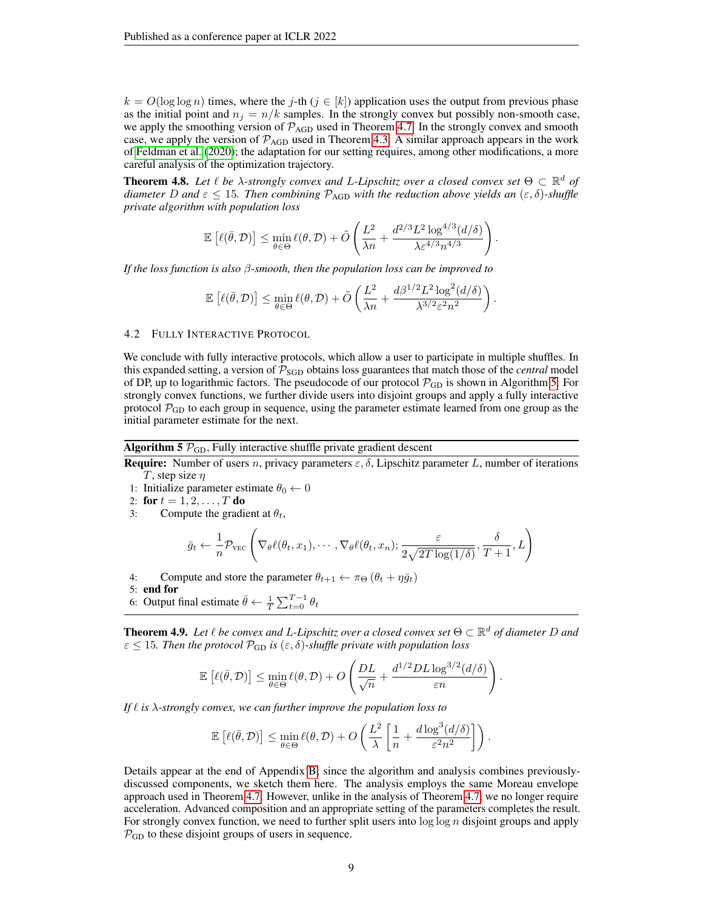$k = O(\log \log n)$  times, where the j-th  $(j \in [k])$  application uses the output from previous phase as the initial point and  $n_j = n/k$  samples. In the strongly convex but possibly non-smooth case, we apply the smoothing version of  $\mathcal{P}_{AGD}$  used in Theorem [4.7.](#page-7-0) In the strongly convex and smooth case, we apply the version of  $\mathcal{P}_{AGD}$  used in Theorem [4.3.](#page-6-0) A similar approach appears in the work of [Feldman et al.](#page-11-0) [\(2020\)](#page-11-0); the adaptation for our setting requires, among other modifications, a more careful analysis of the optimization trajectory.

<span id="page-8-1"></span>**Theorem 4.8.** Let  $\ell$  be  $\lambda$ -strongly convex and L-Lipschitz over a closed convex set  $\Theta \subset \mathbb{R}^d$  of *diameter* D and  $\varepsilon \leq 15$ *. Then combining*  $\mathcal{P}_{AGD}$  *with the reduction above yields an*  $(\varepsilon, \delta)$ *-shuffle private algorithm with population loss*

$$
\mathbb{E}\left[\ell(\bar{\theta},\mathcal{D})\right] \leq \min_{\theta \in \Theta} \ell(\theta,\mathcal{D}) + \tilde{O}\left(\frac{L^2}{\lambda n} + \frac{d^{2/3}L^2\log^{4/3}(d/\delta)}{\lambda \varepsilon^{4/3}n^{4/3}}\right)
$$

.

.

*If the loss function is also* β*-smooth, then the population loss can be improved to*

$$
\mathbb{E}\left[\ell(\bar{\theta},\mathcal{D})\right] \leq \min_{\theta\in\Theta} \ell(\theta,\mathcal{D}) + \tilde{O}\left(\frac{L^2}{\lambda n} + \frac{d\beta^{1/2}L^2\log^2(d/\delta)}{\lambda^{3/2}\varepsilon^2n^2}\right)
$$

#### <span id="page-8-2"></span>4.2 FULLY INTERACTIVE PROTOCOL

We conclude with fully interactive protocols, which allow a user to participate in multiple shuffles. In this expanded setting, a version of  $P_{SGD}$  obtains loss guarantees that match those of the *central* model of DP, up to logarithmic factors. The pseudocode of our protocol  $\mathcal{P}_{GD}$  is shown in Algorithm [5.](#page-8-3) For strongly convex functions, we further divide users into disjoint groups and apply a fully interactive protocol  $\mathcal{P}_{GD}$  to each group in sequence, using the parameter estimate learned from one group as the initial parameter estimate for the next.

Algorithm 5  $\mathcal{P}_{\text{GD}}$ , Fully interactive shuffle private gradient descent

<span id="page-8-3"></span>**Require:** Number of users n, privacy parameters  $\varepsilon$ ,  $\delta$ , Lipschitz parameter L, number of iterations T, step size  $\eta$ 

- 1: Initialize parameter estimate  $\theta_0 \leftarrow 0$
- 2: for  $t = 1, 2, ..., T$  do
- 3: Compute the gradient at  $\theta_t$ ,

$$
\bar{g}_t \leftarrow \frac{1}{n} \mathcal{P}_{\text{VEC}}\left(\nabla_{\theta} \ell(\theta_t, x_1), \cdots, \nabla_{\theta} \ell(\theta_t, x_n); \frac{\varepsilon}{2\sqrt{2T \log(1/\delta)}}, \frac{\delta}{T+1}, L\right)
$$

4: Compute and store the parameter  $\theta_{t+1} \leftarrow \pi_{\Theta} (\theta_t + \eta \bar{g}_t)$ 

5: end for

6: Output final estimate  $\bar{\theta} \leftarrow \frac{1}{T} \sum_{t=0}^{T-1} \theta_t$ 

<span id="page-8-0"></span>**Theorem 4.9.** Let  $\ell$  be convex and L-Lipschitz over a closed convex set  $\Theta \subset \mathbb{R}^d$  of diameter D and  $\varepsilon \leq 15$ *. Then the protocol*  $\mathcal{P}_{GD}$  *is*  $(\varepsilon, \delta)$ -*shuffle private with population loss* 

$$
\mathbb{E}\left[\ell(\bar{\theta},\mathcal{D})\right] \leq \min_{\theta \in \Theta} \ell(\theta,\mathcal{D}) + O\left(\frac{DL}{\sqrt{n}} + \frac{d^{1/2}DL\log^{3/2}(d/\delta)}{\varepsilon n}\right).
$$

*If*  $\ell$  *is*  $\lambda$ -strongly convex, we can further improve the population loss to

$$
\mathbb{E}\left[\ell(\bar{\theta},\mathcal{D})\right] \leq \min_{\theta \in \Theta} \ell(\theta,\mathcal{D}) + O\left(\frac{L^2}{\lambda}\left[\frac{1}{n} + \frac{d\log^3(d/\delta)}{\varepsilon^2 n^2}\right]\right).
$$

Details appear at the end of Appendix [B;](#page-18-0) since the algorithm and analysis combines previouslydiscussed components, we sketch them here. The analysis employs the same Moreau envelope approach used in Theorem [4.7.](#page-7-0) However, unlike in the analysis of Theorem [4.7,](#page-7-0) we no longer require acceleration. Advanced composition and an appropriate setting of the parameters completes the result. For strongly convex function, we need to further split users into  $\log \log n$  disjoint groups and apply  $P_{GD}$  to these disjoint groups of users in sequence.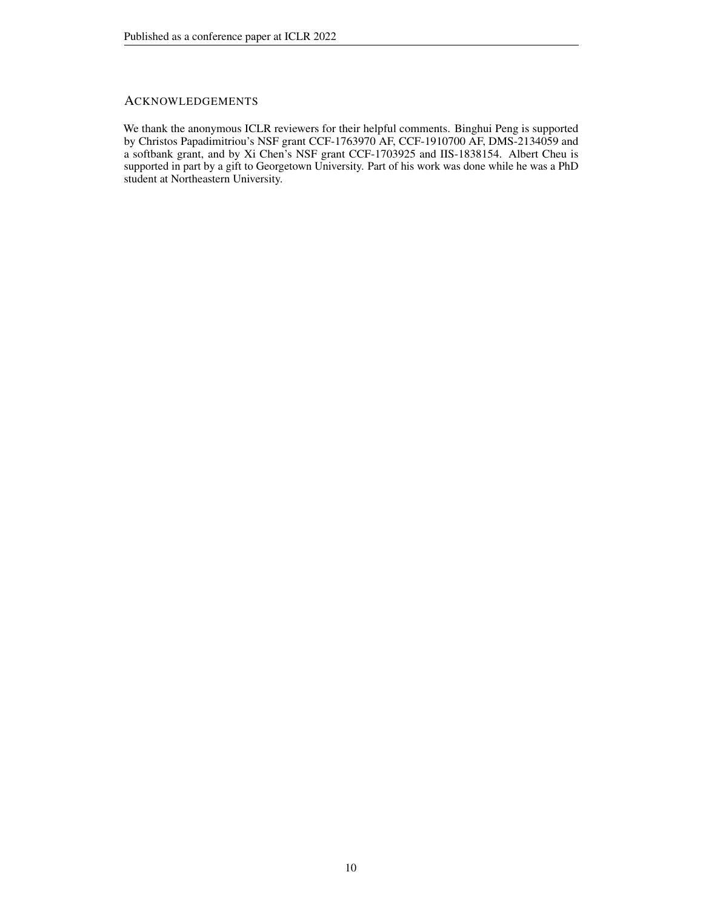# ACKNOWLEDGEMENTS

We thank the anonymous ICLR reviewers for their helpful comments. Binghui Peng is supported by Christos Papadimitriou's NSF grant CCF-1763970 AF, CCF-1910700 AF, DMS-2134059 and a softbank grant, and by Xi Chen's NSF grant CCF-1703925 and IIS-1838154. Albert Cheu is supported in part by a gift to Georgetown University. Part of his work was done while he was a PhD student at Northeastern University.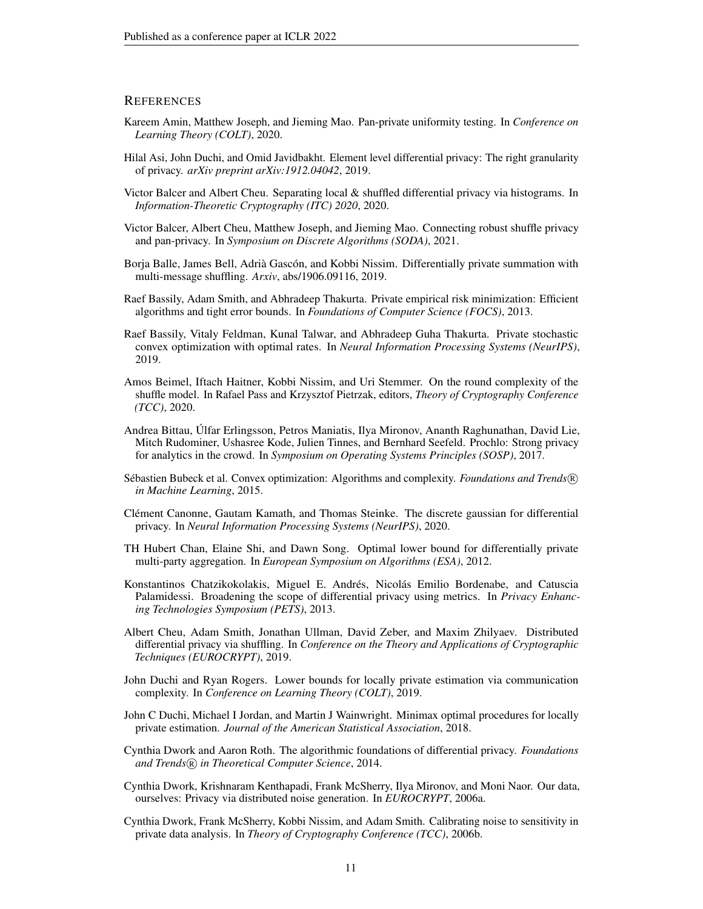## **REFERENCES**

- <span id="page-10-18"></span>Kareem Amin, Matthew Joseph, and Jieming Mao. Pan-private uniformity testing. In *Conference on Learning Theory (COLT)*, 2020.
- <span id="page-10-17"></span>Hilal Asi, John Duchi, and Omid Javidbakht. Element level differential privacy: The right granularity of privacy. *arXiv preprint arXiv:1912.04042*, 2019.
- <span id="page-10-9"></span>Victor Balcer and Albert Cheu. Separating local & shuffled differential privacy via histograms. In *Information-Theoretic Cryptography (ITC) 2020*, 2020.
- <span id="page-10-10"></span>Victor Balcer, Albert Cheu, Matthew Joseph, and Jieming Mao. Connecting robust shuffle privacy and pan-privacy. In *Symposium on Discrete Algorithms (SODA)*, 2021.
- <span id="page-10-8"></span>Borja Balle, James Bell, Adrià Gascón, and Kobbi Nissim. Differentially private summation with multi-message shuffling. *Arxiv*, abs/1906.09116, 2019.
- <span id="page-10-1"></span>Raef Bassily, Adam Smith, and Abhradeep Thakurta. Private empirical risk minimization: Efficient algorithms and tight error bounds. In *Foundations of Computer Science (FOCS)*, 2013.
- <span id="page-10-2"></span>Raef Bassily, Vitaly Feldman, Kunal Talwar, and Abhradeep Guha Thakurta. Private stochastic convex optimization with optimal rates. In *Neural Information Processing Systems (NeurIPS)*, 2019.
- <span id="page-10-11"></span>Amos Beimel, Iftach Haitner, Kobbi Nissim, and Uri Stemmer. On the round complexity of the shuffle model. In Rafael Pass and Krzysztof Pietrzak, editors, *Theory of Cryptography Conference (TCC)*, 2020.
- <span id="page-10-7"></span>Andrea Bittau, Úlfar Erlingsson, Petros Maniatis, Ilya Mironov, Ananth Raghunathan, David Lie, Mitch Rudominer, Ushasree Kode, Julien Tinnes, and Bernhard Seefeld. Prochlo: Strong privacy for analytics in the crowd. In *Symposium on Operating Systems Principles (SOSP)*, 2017.
- <span id="page-10-16"></span>Sébastien Bubeck et al. Convex optimization: Algorithms and complexity. *Foundations and Trends* <sup>R</sup> *in Machine Learning*, 2015.
- <span id="page-10-12"></span>Clément Canonne, Gautam Kamath, and Thomas Steinke. The discrete gaussian for differential privacy. In *Neural Information Processing Systems (NeurIPS)*, 2020.
- <span id="page-10-4"></span>TH Hubert Chan, Elaine Shi, and Dawn Song. Optimal lower bound for differentially private multi-party aggregation. In *European Symposium on Algorithms (ESA)*, 2012.
- <span id="page-10-14"></span>Konstantinos Chatzikokolakis, Miguel E. Andrés, Nicolás Emilio Bordenabe, and Catuscia Palamidessi. Broadening the scope of differential privacy using metrics. In *Privacy Enhancing Technologies Symposium (PETS)*, 2013.
- <span id="page-10-6"></span>Albert Cheu, Adam Smith, Jonathan Ullman, David Zeber, and Maxim Zhilyaev. Distributed differential privacy via shuffling. In *Conference on the Theory and Applications of Cryptographic Techniques (EUROCRYPT)*, 2019.
- <span id="page-10-5"></span>John Duchi and Ryan Rogers. Lower bounds for locally private estimation via communication complexity. In *Conference on Learning Theory (COLT)*, 2019.
- <span id="page-10-3"></span>John C Duchi, Michael I Jordan, and Martin J Wainwright. Minimax optimal procedures for locally private estimation. *Journal of the American Statistical Association*, 2018.
- <span id="page-10-13"></span>Cynthia Dwork and Aaron Roth. The algorithmic foundations of differential privacy. *Foundations and Trends* <sup>R</sup> *in Theoretical Computer Science*, 2014.
- <span id="page-10-15"></span>Cynthia Dwork, Krishnaram Kenthapadi, Frank McSherry, Ilya Mironov, and Moni Naor. Our data, ourselves: Privacy via distributed noise generation. In *EUROCRYPT*, 2006a.
- <span id="page-10-0"></span>Cynthia Dwork, Frank McSherry, Kobbi Nissim, and Adam Smith. Calibrating noise to sensitivity in private data analysis. In *Theory of Cryptography Conference (TCC)*, 2006b.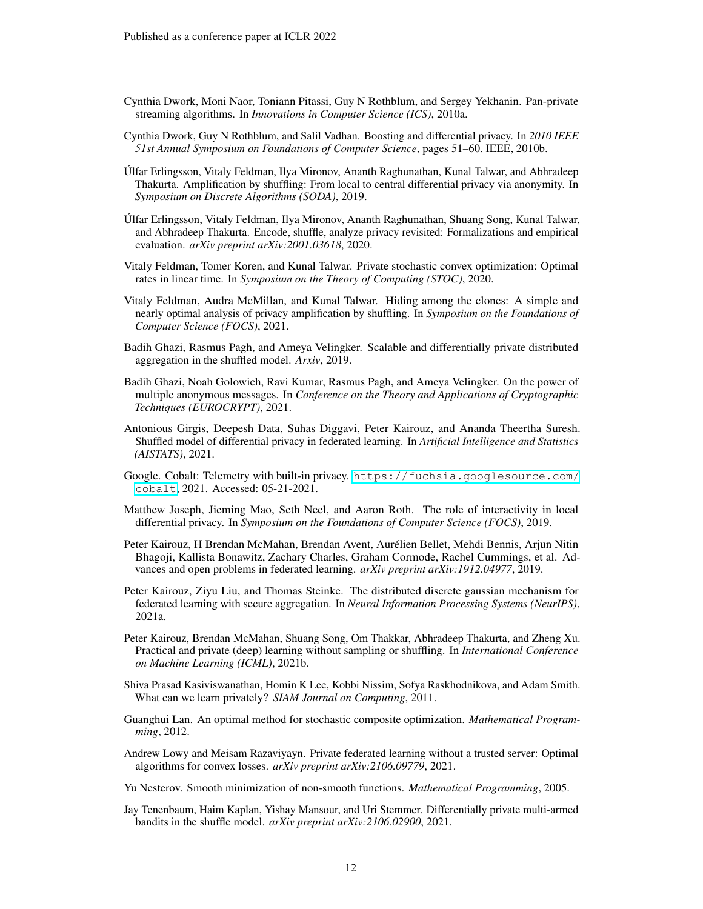- <span id="page-11-15"></span>Cynthia Dwork, Moni Naor, Toniann Pitassi, Guy N Rothblum, and Sergey Yekhanin. Pan-private streaming algorithms. In *Innovations in Computer Science (ICS)*, 2010a.
- <span id="page-11-18"></span>Cynthia Dwork, Guy N Rothblum, and Salil Vadhan. Boosting and differential privacy. In *2010 IEEE 51st Annual Symposium on Foundations of Computer Science*, pages 51–60. IEEE, 2010b.
- <span id="page-11-4"></span>Úlfar Erlingsson, Vitaly Feldman, Ilya Mironov, Ananth Raghunathan, Kunal Talwar, and Abhradeep Thakurta. Amplification by shuffling: From local to central differential privacy via anonymity. In *Symposium on Discrete Algorithms (SODA)*, 2019.
- <span id="page-11-10"></span>Úlfar Erlingsson, Vitaly Feldman, Ilya Mironov, Ananth Raghunathan, Shuang Song, Kunal Talwar, and Abhradeep Thakurta. Encode, shuffle, analyze privacy revisited: Formalizations and empirical evaluation. *arXiv preprint arXiv:2001.03618*, 2020.
- <span id="page-11-0"></span>Vitaly Feldman, Tomer Koren, and Kunal Talwar. Private stochastic convex optimization: Optimal rates in linear time. In *Symposium on the Theory of Computing (STOC)*, 2020.
- <span id="page-11-6"></span>Vitaly Feldman, Audra McMillan, and Kunal Talwar. Hiding among the clones: A simple and nearly optimal analysis of privacy amplification by shuffling. In *Symposium on the Foundations of Computer Science (FOCS)*, 2021.
- <span id="page-11-14"></span>Badih Ghazi, Rasmus Pagh, and Ameya Velingker. Scalable and differentially private distributed aggregation in the shuffled model. *Arxiv*, 2019.
- <span id="page-11-5"></span>Badih Ghazi, Noah Golowich, Ravi Kumar, Rasmus Pagh, and Ameya Velingker. On the power of multiple anonymous messages. In *Conference on the Theory and Applications of Cryptographic Techniques (EUROCRYPT)*, 2021.
- <span id="page-11-12"></span>Antonious Girgis, Deepesh Data, Suhas Diggavi, Peter Kairouz, and Ananda Theertha Suresh. Shuffled model of differential privacy in federated learning. In *Artificial Intelligence and Statistics (AISTATS)*, 2021.
- <span id="page-11-7"></span>Google. Cobalt: Telemetry with built-in privacy. [https://fuchsia.googlesource.com/](https://fuchsia.googlesource.com/cobalt) [cobalt](https://fuchsia.googlesource.com/cobalt), 2021. Accessed: 05-21-2021.
- <span id="page-11-3"></span>Matthew Joseph, Jieming Mao, Seth Neel, and Aaron Roth. The role of interactivity in local differential privacy. In *Symposium on the Foundations of Computer Science (FOCS)*, 2019.
- <span id="page-11-9"></span>Peter Kairouz, H Brendan McMahan, Brendan Avent, Aurélien Bellet, Mehdi Bennis, Arjun Nitin Bhagoji, Kallista Bonawitz, Zachary Charles, Graham Cormode, Rachel Cummings, et al. Advances and open problems in federated learning. *arXiv preprint arXiv:1912.04977*, 2019.
- <span id="page-11-13"></span>Peter Kairouz, Ziyu Liu, and Thomas Steinke. The distributed discrete gaussian mechanism for federated learning with secure aggregation. In *Neural Information Processing Systems (NeurIPS)*, 2021a.
- <span id="page-11-8"></span>Peter Kairouz, Brendan McMahan, Shuang Song, Om Thakkar, Abhradeep Thakurta, and Zheng Xu. Practical and private (deep) learning without sampling or shuffling. In *International Conference on Machine Learning (ICML)*, 2021b.
- <span id="page-11-2"></span>Shiva Prasad Kasiviswanathan, Homin K Lee, Kobbi Nissim, Sofya Raskhodnikova, and Adam Smith. What can we learn privately? *SIAM Journal on Computing*, 2011.
- <span id="page-11-16"></span>Guanghui Lan. An optimal method for stochastic composite optimization. *Mathematical Programming*, 2012.
- <span id="page-11-1"></span>Andrew Lowy and Meisam Razaviyayn. Private federated learning without a trusted server: Optimal algorithms for convex losses. *arXiv preprint arXiv:2106.09779*, 2021.
- <span id="page-11-17"></span>Yu Nesterov. Smooth minimization of non-smooth functions. *Mathematical Programming*, 2005.
- <span id="page-11-11"></span>Jay Tenenbaum, Haim Kaplan, Yishay Mansour, and Uri Stemmer. Differentially private multi-armed bandits in the shuffle model. *arXiv preprint arXiv:2106.02900*, 2021.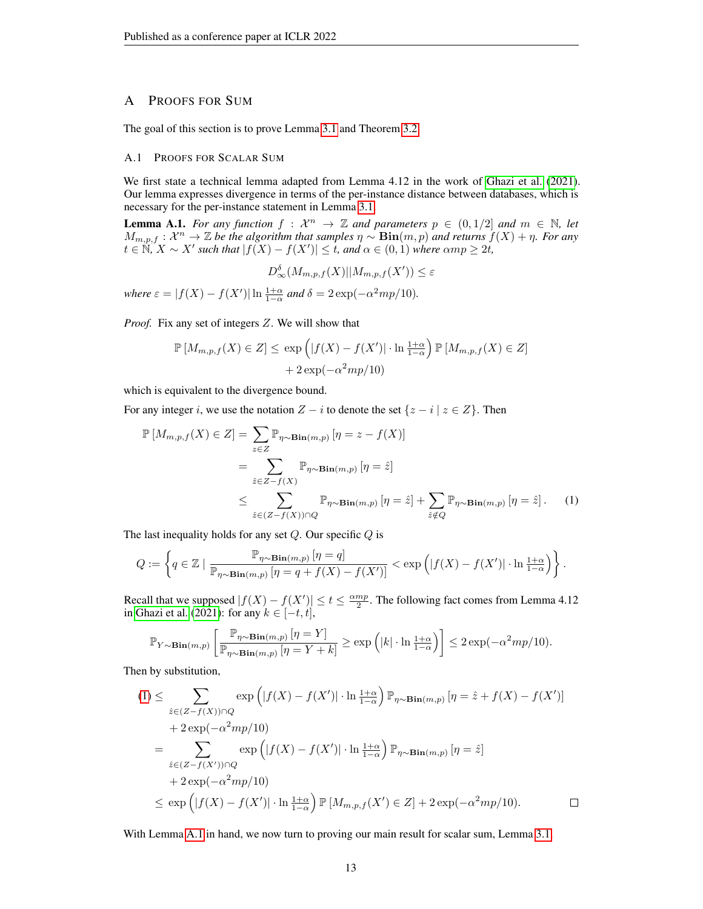# <span id="page-12-0"></span>A PROOFS FOR SUM

The goal of this section is to prove Lemma [3.1](#page-4-1) and Theorem [3.2.](#page-5-2)

## A.1 PROOFS FOR SCALAR SUM

We first state a technical lemma adapted from Lemma 4.12 in the work of [Ghazi et al.](#page-11-5) [\(2021\)](#page-11-5). Our lemma expresses divergence in terms of the per-instance distance between databases, which is necessary for the per-instance statement in Lemma [3.1.](#page-4-1)

<span id="page-12-1"></span>**Lemma A.1.** For any function  $f : \mathcal{X}^n \to \mathbb{Z}$  and parameters  $p \in (0, 1/2]$  and  $m \in \mathbb{N}$ , let  $M_{m,p,f}: \mathcal{X}^n \to \mathbb{Z}$  be the algorithm that samples  $\eta \sim \textbf{Bin}(m,p)$  and returns  $f(X) + \eta$ . For any  $t \in \mathbb{N}, X \sim X'$  such that  $|f(X) - f(X')| \leq t$ , and  $\alpha \in (0, 1)$  where  $\alpha mp \geq 2t$ ,

$$
D_{\infty}^{\delta}(M_{m,p,f}(X)||M_{m,p,f}(X')) \leq \varepsilon
$$

*where*  $\varepsilon = |f(X) - f(X')| \ln \frac{1+\alpha}{1-\alpha}$  *and*  $\delta = 2 \exp(-\alpha^2 m p/10)$ *.* 

*Proof.* Fix any set of integers Z. We will show that

$$
\mathbb{P}\left[M_{m,p,f}(X) \in Z\right] \le \exp\left(|f(X) - f(X')| \cdot \ln \frac{1+\alpha}{1-\alpha}\right) \mathbb{P}\left[M_{m,p,f}(X) \in Z\right] + 2\exp(-\alpha^2 m p/10)
$$

which is equivalent to the divergence bound.

For any integer i, we use the notation  $Z - i$  to denote the set  $\{z - i \mid z \in Z\}$ . Then

$$
\mathbb{P}\left[M_{m,p,f}(X) \in Z\right] = \sum_{z \in Z} \mathbb{P}_{\eta \sim \mathbf{Bin}(m,p)}\left[\eta = z - f(X)\right]
$$

$$
= \sum_{\hat{z} \in Z - f(X)} \mathbb{P}_{\eta \sim \mathbf{Bin}(m,p)}\left[\eta = \hat{z}\right]
$$

$$
\leq \sum_{\hat{z} \in (Z - f(X)) \cap Q} \mathbb{P}_{\eta \sim \mathbf{Bin}(m,p)}\left[\eta = \hat{z}\right] + \sum_{\hat{z} \notin Q} \mathbb{P}_{\eta \sim \mathbf{Bin}(m,p)}\left[\eta = \hat{z}\right]. \tag{1}
$$

The last inequality holds for any set  $Q$ . Our specific  $Q$  is

$$
Q:=\left\{q\in\mathbb{Z}~\vert~\frac{\mathbb{P}_{\eta\sim\mathbf{Bin}(m,p)}\left[\eta=q\right]}{\mathbb{P}_{\eta\sim\mathbf{Bin}(m,p)}\left[\eta=q+f(X)-f(X')\right]}<\exp\left(\left|f(X)-f(X')\right|\cdot\ln\tfrac{1+\alpha}{1-\alpha}\right)\right\}.
$$

Recall that we supposed  $|f(X) - f(X')| \le t \le \frac{\alpha mp}{2}$ . The following fact comes from Lemma 4.12 in [Ghazi et al.](#page-11-5) [\(2021\)](#page-11-5): for any  $k \in [-t, t]$ ,

$$
\mathbb{P}_{Y \sim \mathbf{Bin}(m,p)} \left[ \frac{\mathbb{P}_{\eta \sim \mathbf{Bin}(m,p)} \left[ \eta = Y \right]}{\mathbb{P}_{\eta \sim \mathbf{Bin}(m,p)} \left[ \eta = Y + k \right]} \ge \exp \left( \lvert k \rvert \cdot \ln \frac{1+\alpha}{1-\alpha} \right) \right] \le 2 \exp(-\alpha^2 m p / 10).
$$

Then by substitution,

$$
(1) \leq \sum_{\hat{z} \in (Z - f(X)) \cap Q} \exp\left(|f(X) - f(X')| \cdot \ln \frac{1+\alpha}{1-\alpha}\right) \mathbb{P}_{\eta \sim \mathbf{Bin}(m, p)} \left[\eta = \hat{z} + f(X) - f(X')\right]
$$

$$
+ 2 \exp(-\alpha^2 m p/10)
$$

$$
= \sum_{\hat{z} \in (Z - f(X')) \cap Q} \exp\left(|f(X) - f(X')| \cdot \ln \frac{1+\alpha}{1-\alpha}\right) \mathbb{P}_{\eta \sim \mathbf{Bin}(m, p)} \left[\eta = \hat{z}\right]
$$

$$
+ 2 \exp(-\alpha^2 m p/10)
$$

$$
\leq \exp\left(|f(X) - f(X')| \cdot \ln \frac{1+\alpha}{1-\alpha}\right) \mathbb{P}\left[M_{m, p, f}(X') \in Z\right] + 2 \exp(-\alpha^2 m p/10). \qquad \Box
$$

With Lemma [A.1](#page-12-1) in hand, we now turn to proving our main result for scalar sum, Lemma [3.1.](#page-4-1)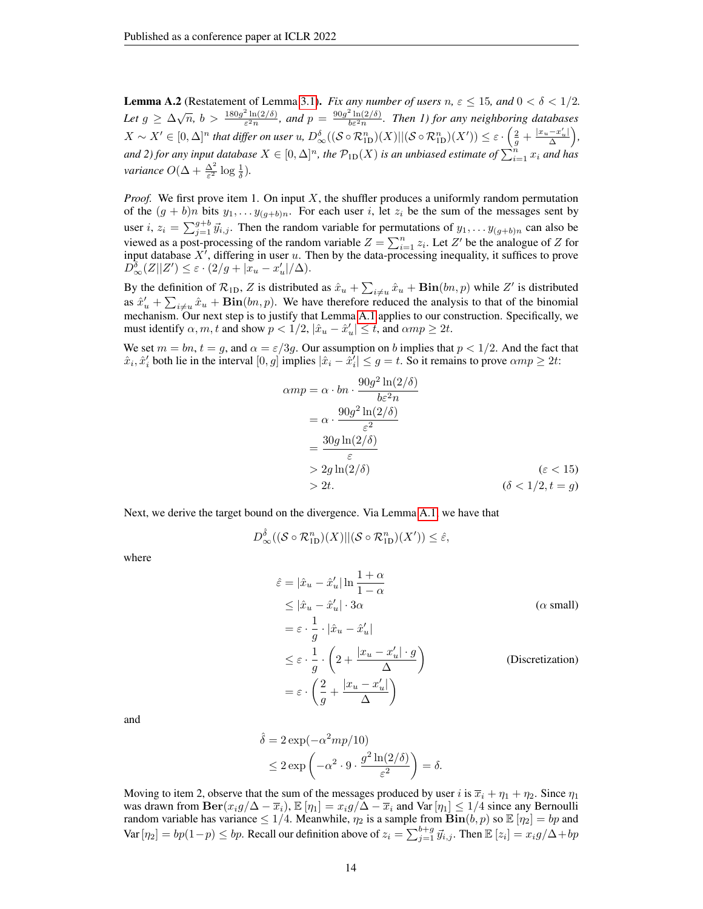**Lemma A.2** (Restatement of Lemma [3.1\)](#page-4-1). *Fix any number of users*  $n, \varepsilon \le 15$ *, and*  $0 < \delta < 1/2$ . *Let*  $g \ge \Delta \sqrt{n}$ ,  $b > \frac{180g^2 \ln(2/\delta)}{\epsilon^2 n}$  $\frac{e^{2} \ln(2/\delta)}{\epsilon^{2} n}$ , and  $p = \frac{90g^{2} \ln(2/\delta)}{b \epsilon^{2} n}$ . Then 1) for any neighboring databases  $X\sim X'\in [0,\Delta]^n$  that differ on user  $u$ ,  $D_\infty^\delta((\mathcal{S}\circ \mathcal{R}^n_{\mathrm{ID}})(X)||(\mathcal{S}\circ \mathcal{R}^n_{\mathrm{ID}})(X'))\leq \varepsilon\cdot\Big(\frac{2}{g}+\frac{|x_u-x_u'|}{\Delta}\Big),$ and 2) for any input database  $X\in[0,\Delta]^n$ , the  $\mathcal{P}_{\rm 1D}(X)$  is an unbiased estimate of  $\sum_{i=1}^nx_i$  and has *variance*  $O(\Delta + \frac{\Delta^2}{\varepsilon^2} \log \frac{1}{\delta})$ *.* 

*Proof.* We first prove item 1. On input X, the shuffler produces a uniformly random permutation of the  $(g + b)n$  bits  $y_1, \ldots y_{(g+b)n}$ . For each user i, let  $z_i$  be the sum of the messages sent by user  $i, z_i = \sum_{j=1}^{g+b} \vec{y}_{i,j}$ . Then the random variable for permutations of  $y_1, \ldots y_{(g+b)n}$  can also be viewed as a post-processing of the random variable  $Z = \sum_{i=1}^{n} z_i$ . Let Z' be the analogue of Z for input database  $X<sup>i</sup>$ , differing in user u. Then by the data-processing inequality, it suffices to prove  $D_{\infty}^{\delta}(Z||Z') \leq \varepsilon \cdot (2/g + |\tilde{x}_u - x'_u|/\Delta).$ 

By the definition of  $\mathcal{R}_{1D}$ , Z is distributed as  $\hat{x}_u + \sum_{i \neq u} \hat{x}_u + \textbf{Bin}(bn, p)$  while Z' is distributed as  $\hat{x}'_u + \sum_{i \neq u} \hat{x}_u + \textbf{Bin}(bn, p)$ . We have therefore reduced the analysis to that of the binomial mechanism. Our next step is to justify that Lemma [A.1](#page-12-1) applies to our construction. Specifically, we must identify  $\alpha, m, t$  and show  $p < 1/2$ ,  $|\hat{x}_u - \hat{x}'_u| \leq t$ , and  $\alpha mp \geq 2t$ .

We set  $m = bn$ ,  $t = g$ , and  $\alpha = \varepsilon/3g$ . Our assumption on b implies that  $p < 1/2$ . And the fact that  $\hat{x}_i, \hat{x}'_i$  both lie in the interval  $[0, g]$  implies  $|\hat{x}_i - \hat{x}'_i| \leq g = t$ . So it remains to prove  $\alpha mp \geq 2t$ :

$$
\alpha m p = \alpha \cdot b_n \cdot \frac{90g^2 \ln(2/\delta)}{b \epsilon^2 n}
$$
  
=  $\alpha \cdot \frac{90g^2 \ln(2/\delta)}{\epsilon^2}$   
=  $\frac{30g \ln(2/\delta)}{\epsilon}$   
>  $2g \ln(2/\delta)$  ( $\epsilon < 15$ )  
> 2t. ( $\delta < 1/2, t = g$ )

Next, we derive the target bound on the divergence. Via Lemma [A.1,](#page-12-1) we have that

$$
D_{\infty}^{\hat{\delta}}((\mathcal{S} \circ \mathcal{R}_{1D}^n)(X)||(\mathcal{S} \circ \mathcal{R}_{1D}^n)(X')) \leq \hat{\varepsilon},
$$

where

$$
\hat{\varepsilon} = |\hat{x}_u - \hat{x}'_u| \ln \frac{1+\alpha}{1-\alpha}
$$
\n
$$
\leq |\hat{x}_u - \hat{x}'_u| \cdot 3\alpha \qquad (\alpha \text{ small})
$$
\n
$$
= \varepsilon \cdot \frac{1}{g} \cdot |\hat{x}_u - \hat{x}'_u|
$$
\n
$$
\leq \varepsilon \cdot \frac{1}{g} \cdot \left(2 + \frac{|x_u - x'_u| \cdot g}{\Delta}\right) \qquad \text{(Discretization)}
$$
\n
$$
= \varepsilon \cdot \left(\frac{2}{g} + \frac{|x_u - x'_u|}{\Delta}\right)
$$

and

$$
\hat{\delta} = 2 \exp(-\alpha^2 m p/10) \n\leq 2 \exp\left(-\alpha^2 \cdot 9 \cdot \frac{g^2 \ln(2/\delta)}{\varepsilon^2}\right) = \delta.
$$

Moving to item 2, observe that the sum of the messages produced by user i is  $\overline{x}_i + \eta_1 + \eta_2$ . Since  $\eta_1$ was drawn from  $\text{Ber}(x_i g/\Delta - \overline{x}_i)$ ,  $\mathbb{E}[\eta_1] = x_i g/\Delta - \overline{x}_i$  and Var $[\eta_1] \leq 1/4$  since any Bernoulli random variable has variance  $\leq 1/4$ . Meanwhile,  $\eta_2$  is a sample from  $\overline{Bin}(b, p)$  so  $\mathbb{E}[\eta_2] = bp$  and Var  $[\eta_2] = bp(1-p) \le bp$ . Recall our definition above of  $z_i = \sum_{j=1}^{b+g} \vec{y}_{i,j}$ . Then  $\mathbb{E} [z_i] = x_i g/\Delta + bp$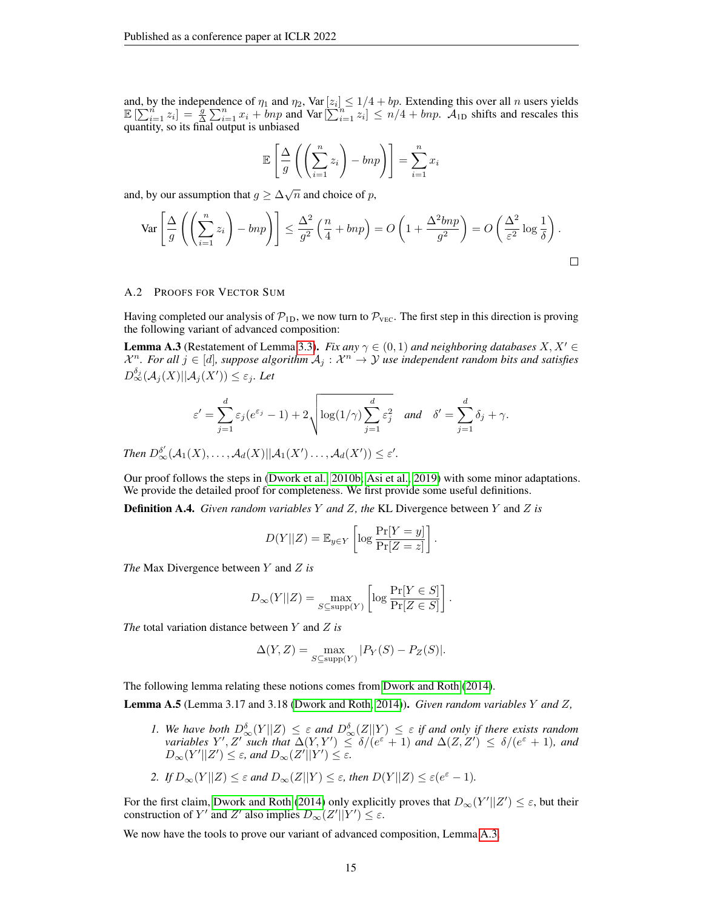and, by the independence of  $\eta_1$  and  $\eta_2$ , Var  $[z_i] \leq 1/4 + bp$ . Extending this over all n users yields  $\mathbb{E}\left[\sum_{i=1}^{n} z_i\right] = \frac{1}{2} \sum_{i=1}^{n} x_i + bnp$  and  $\text{Var}\left[\sum_{i=1}^{n} z_i\right] \leq n/4 + bnp$ .  $\mathcal{A}_{1D}$  shifts and rescales this quantity, so its final output is unbiased

$$
\mathbb{E}\left[\frac{\Delta}{g}\left(\left(\sum_{i=1}^{n}z_i\right) - bnp\right)\right] = \sum_{i=1}^{n}x_i
$$

and, by our assumption that  $g \geq \Delta \sqrt{n}$  and choice of p,

$$
\operatorname{Var}\left[\frac{\Delta}{g}\left(\left(\sum_{i=1}^{n}z_{i}\right)-bnp\right)\right] \leq \frac{\Delta^{2}}{g^{2}}\left(\frac{n}{4}+bnp\right) = O\left(1+\frac{\Delta^{2}bnp}{g^{2}}\right) = O\left(\frac{\Delta^{2}}{\varepsilon^{2}}\log\frac{1}{\delta}\right).
$$

## <span id="page-14-0"></span>A.2 PROOFS FOR VECTOR SUM

Having completed our analysis of  $\mathcal{P}_{1D}$ , we now turn to  $\mathcal{P}_{\text{vec}}$ . The first step in this direction is proving the following variant of advanced composition:

<span id="page-14-1"></span>**Lemma A.3** (Restatement of Lemma [3.3\)](#page-5-3). *Fix any*  $\gamma \in (0,1)$  *and neighboring databases*  $X, X' \in$  $\mathcal{X}^n$ . For all  $j \in [d]$ , suppose algorithm  $\mathcal{A}_j : \mathcal{X}^n \to \mathcal{Y}$  use independent random bits and satisfies  $D_{\infty}^{\delta_j}(\mathcal{A}_j(X)||\mathcal{A}_j(X')) \leq \varepsilon_j$ . Let

$$
\varepsilon' = \sum_{j=1}^d \varepsilon_j (e^{\varepsilon_j} - 1) + 2 \sqrt{\log(1/\gamma) \sum_{j=1}^d \varepsilon_j^2} \quad \text{and} \quad \delta' = \sum_{j=1}^d \delta_j + \gamma.
$$

*Then*  $D_{\infty}^{\delta'}(\mathcal{A}_1(X), \ldots, \mathcal{A}_d(X)||\mathcal{A}_1(X') \ldots, \mathcal{A}_d(X')) \leq \varepsilon'.$ 

Our proof follows the steps in [\(Dwork et al., 2010b;](#page-11-18) [Asi et al., 2019\)](#page-10-17) with some minor adaptations. We provide the detailed proof for completeness. We first provide some useful definitions.

Definition A.4. *Given random variables* Y *and* Z*, the* KL Divergence between Y and Z *is*

$$
D(Y||Z) = \mathbb{E}_{y \in Y} \left[ \log \frac{\Pr[Y = y]}{\Pr[Z = z]} \right].
$$

*The* Max Divergence between Y and Z *is*

$$
D_{\infty}(Y||Z) = \max_{S \subseteq \text{supp}(Y)} \left[ \log \frac{\Pr[Y \in S]}{\Pr[Z \in S]} \right].
$$

*The* total variation distance between Y and Z *is*

$$
\Delta(Y, Z) = \max_{S \subseteq \text{supp}(Y)} |P_Y(S) - P_Z(S)|.
$$

The following lemma relating these notions comes from [Dwork and Roth](#page-10-13) [\(2014\)](#page-10-13).

<span id="page-14-2"></span>Lemma A.5 (Lemma 3.17 and 3.18 [\(Dwork and Roth, 2014\)](#page-10-13)). *Given random variables* Y *and* Z*,*

*1.* We have both  $D_{\infty}^{\delta}(Y||Z) \leq \varepsilon$  and  $D_{\infty}^{\delta}(Z||Y) \leq \varepsilon$  if and only if there exists random *variables*  $Y', Z'$  *such that*  $\Delta(Y, Y') \leq \delta/(e^{\varepsilon} + 1)$  *and*  $\Delta(Z, Z') \leq \delta/(e^{\varepsilon} + 1)$ *, and*  $D_{\infty}(Y'||Z') \leq \varepsilon$ , and  $D_{\infty}(Z'||Y') \leq \varepsilon$ .

2. If 
$$
D_{\infty}(Y||Z) \leq \varepsilon
$$
 and  $D_{\infty}(Z||Y) \leq \varepsilon$ , then  $D(Y||Z) \leq \varepsilon(e^{\varepsilon}-1)$ .

For the first claim, [Dwork and Roth](#page-10-13) [\(2014\)](#page-10-13) only explicitly proves that  $D_{\infty}(Y'||Z') \leq \varepsilon$ , but their construction of Y' and Z' also implies  $D_{\infty}(Z'||Y') \leq \varepsilon$ .

We now have the tools to prove our variant of advanced composition, Lemma [A.3.](#page-14-1)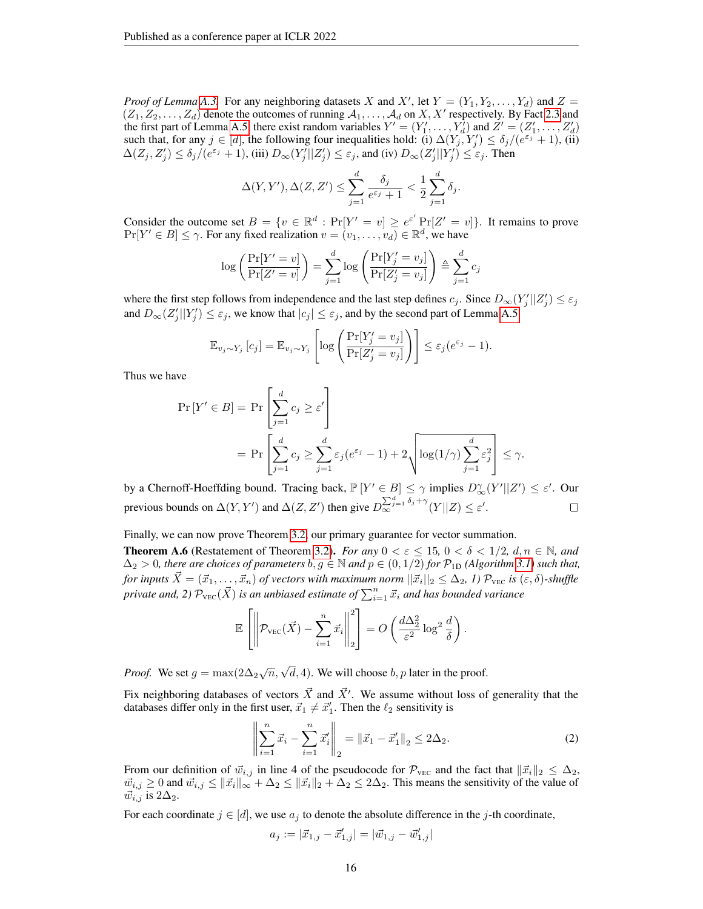*Proof of Lemma* [A.3.](#page-14-1) For any neighboring datasets X and X', let  $Y = (Y_1, Y_2, \ldots, Y_d)$  and  $Z =$  $(Z_1, Z_2, \ldots, Z_d)$  denote the outcomes of running  $A_1, \ldots, A_d$  on  $X, X'$  respectively. By Fact [2.3](#page-2-1) and the first part of Lemma [A.5,](#page-14-2) there exist random variables  $Y' = (Y'_1, \ldots, Y'_d)$  and  $Z' = (Z'_1, \ldots, Z'_d)$ such that, for any  $j \in [d]$ , the following four inequalities hold: (i)  $\Delta(Y_j, Y_j') \le \delta_j/(e^{\epsilon_j} + 1)$ , (ii)  $\Delta(Z_j, Z'_j) \leq \delta_j/(e^{\varepsilon_j} + 1)$ , (iii)  $D_\infty(Y'_j||Z'_j) \leq \varepsilon_j$ , and (iv)  $D_\infty(Z'_j||Y'_j) \leq \varepsilon_j$ . Then

$$
\Delta(Y, Y'), \Delta(Z, Z') \le \sum_{j=1}^d \frac{\delta_j}{e^{\varepsilon_j} + 1} < \frac{1}{2} \sum_{j=1}^d \delta_j.
$$

Consider the outcome set  $B = \{v \in \mathbb{R}^d : \Pr[Y' = v] \ge e^{\varepsilon'} \Pr[Z' = v] \}$ . It remains to prove  $Pr[Y' \in B] \le \gamma$ . For any fixed realization  $v = (v_1, \ldots, v_d) \in \mathbb{R}^d$ , we have

$$
\log\left(\frac{\Pr[Y'=v]}{\Pr[Z'=v]}\right) = \sum_{j=1}^{d} \log\left(\frac{\Pr[Y'_j=v_j]}{\Pr[Z'_j=v_j]}\right) \triangleq \sum_{j=1}^{d} c_j
$$

where the first step follows from independence and the last step defines  $c_j$ . Since  $D_{\infty}(Y'_j||Z'_j) \leq \varepsilon_j$ and  $D_{\infty}(Z'_j||Y'_j) \leq \varepsilon_j$ , we know that  $|c_j| \leq \varepsilon_j$ , and by the second part of Lemma [A.5](#page-14-2)

$$
\mathbb{E}_{v_j \sim Y_j} [c_j] = \mathbb{E}_{v_j \sim Y_j} \left[ \log \left( \frac{\Pr[Y'_j = v_j]}{\Pr[Z'_j = v_j]} \right) \right] \le \varepsilon_j (e^{\varepsilon_j} - 1).
$$

Thus we have

$$
\Pr[Y' \in B] = \Pr\left[\sum_{j=1}^{d} c_j \ge \varepsilon'\right]
$$
  
= 
$$
\Pr\left[\sum_{j=1}^{d} c_j \ge \sum_{j=1}^{d} \varepsilon_j (e^{\varepsilon_j} - 1) + 2\sqrt{\log(1/\gamma) \sum_{j=1}^{d} \varepsilon_j^2}\right] \le \gamma.
$$

by a Chernoff-Hoeffding bound. Tracing back,  $\mathbb{P}[Y' \in B] \leq \gamma$  implies  $D_{\infty}^{\gamma}(Y' || Z') \leq \varepsilon'$ . Our previous bounds on  $\Delta(Y, Y')$  and  $\Delta(Z, Z')$  then give  $D_{\infty}^{\sum_{j=1}^{d} \delta_j + \gamma}(Y||Z) \leq \varepsilon'.$  $\Box$ 

Finally, we can now prove Theorem [3.2,](#page-5-2) our primary guarantee for vector summation.

**Theorem A.6** (Restatement of Theorem [3.2\)](#page-5-2). *For any*  $0 < \varepsilon \le 15$ ,  $0 < \delta < 1/2$ ,  $d, n \in \mathbb{N}$ , and  $\Delta_2 > 0$ *, there are choices of parameters*  $b, g \in \mathbb{N}$  and  $p \in (0, 1/2)$  *for*  $\mathcal{P}_{1D}$  *(Algorithm [3.1\)](#page-4-0) such that,*  $f$ or inputs  $\vec{X} = (\vec{x}_1,\dots,\vec{x}_n)$  of vectors with maximum norm  $||\vec{x}_i||_2 \leq \Delta_2$ , 1)  $\mathcal{P}_{\text{vec}}$  is  $(\varepsilon,\delta)$ -shuffle private and, 2)  $\mathcal{P}_{\rm{VEC}}(\vec{X})$  is an unbiased estimate of  $\sum_{i=1}^n \vec{x}_i$  and has bounded variance

$$
\mathbb{E}\left[\left\|\mathcal{P}_{\text{VEC}}(\vec{X}) - \sum_{i=1}^{n} \vec{x}_i\right\|_2^2\right] = O\left(\frac{d\Delta_2^2}{\varepsilon^2} \log^2 \frac{d}{\delta}\right).
$$

*Proof.* We set  $g = \max(2\Delta_2\sqrt{n}, \sqrt{d}, 4)$ . We will choose  $b, p$  later in the proof.

Fix neighboring databases of vectors  $\vec{X}$  and  $\vec{X}'$ . We assume without loss of generality that the databases differ only in the first user,  $\vec{x}_1 \neq \vec{x}'_1$ . Then the  $\ell_2$  sensitivity is

<span id="page-15-0"></span>
$$
\left\| \sum_{i=1}^{n} \vec{x}_i - \sum_{i=1}^{n} \vec{x}'_i \right\|_2 = \left\| \vec{x}_1 - \vec{x}'_1 \right\|_2 \le 2\Delta_2.
$$
 (2)

From our definition of  $\vec{w}_{i,j}$  in line 4 of the pseudocode for  $\mathcal{P}_{\text{VEC}}$  and the fact that  $\|\vec{x}_i\|_2 \leq \Delta_2$ ,  $\vec{w}_{i,j} \geq 0$  and  $\vec{w}_{i,j} \leq \|\vec{x}_i\|_{\infty} + \Delta_2 \leq \|\vec{x}_i\|_2 + \Delta_2 \leq 2\Delta_2$ . This means the sensitivity of the value of  $\vec{w}_{i,j}$  is  $2\Delta_2$ .

For each coordinate  $j \in [d]$ , we use  $a_j$  to denote the absolute difference in the j-th coordinate,

$$
a_j := |\vec{x}_{1,j} - \vec{x}'_{1,j}| = |\vec{w}_{1,j} - \vec{w}'_{1,j}|
$$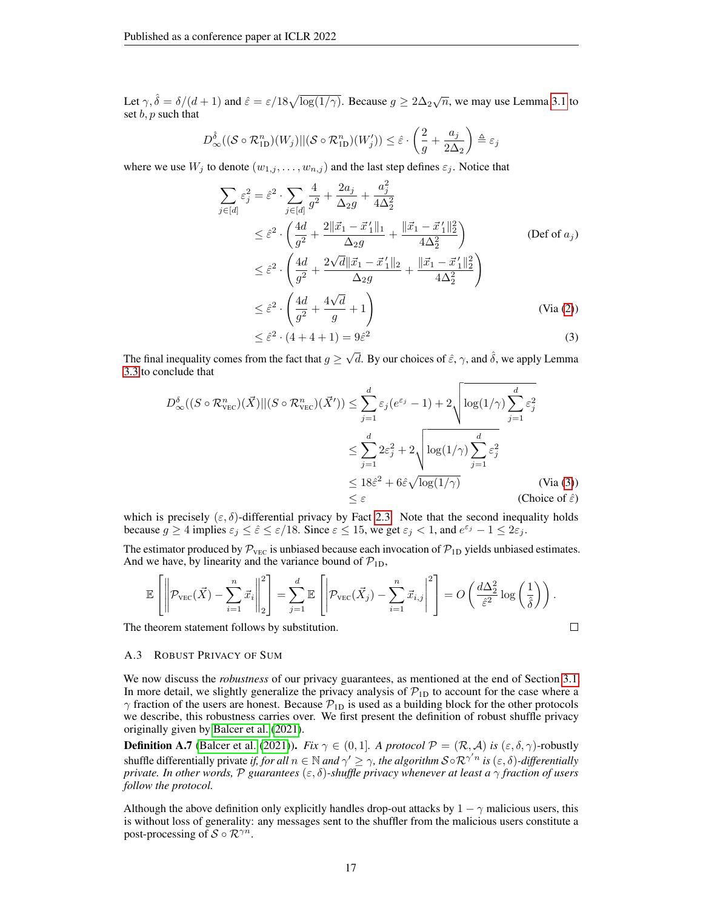Let  $\gamma, \hat{\delta} = \delta/(d+1)$  and  $\hat{\varepsilon} = \varepsilon/18\sqrt{\log(1/\gamma)}$ . Because  $g \ge 2\Delta_2\sqrt{n}$ , we may use Lemma [3.1](#page-4-1) to set  $b, p$  such that

$$
D_{\infty}^{\hat{\delta}}((\mathcal{S} \circ \mathcal{R}_{1D}^{n})(W_j)||(\mathcal{S} \circ \mathcal{R}_{1D}^{n})(W_j')) \leq \hat{\varepsilon} \cdot \left(\frac{2}{g} + \frac{a_j}{2\Delta_2}\right) \triangleq \varepsilon_j
$$

where we use  $W_j$  to denote  $(w_{1,j}, \ldots, w_{n,j})$  and the last step defines  $\varepsilon_j$ . Notice that

$$
\sum_{j \in [d]} \varepsilon_j^2 = \hat{\varepsilon}^2 \cdot \sum_{j \in [d]} \frac{4}{g^2} + \frac{2a_j}{\Delta_2 g} + \frac{a_j^2}{4\Delta_2^2} \n\leq \hat{\varepsilon}^2 \cdot \left(\frac{4d}{g^2} + \frac{2\|\vec{x}_1 - \vec{x}_1'\|_1}{\Delta_2 g} + \frac{\|\vec{x}_1 - \vec{x}_1'\|_2^2}{4\Delta_2^2}\right) \n\leq \hat{\varepsilon}^2 \cdot \left(\frac{4d}{g^2} + \frac{2\sqrt{d}\|\vec{x}_1 - \vec{x}_1'\|_2}{\Delta_2 g} + \frac{\|\vec{x}_1 - \vec{x}_1'\|_2^2}{4\Delta_2^2}\right) \n\leq \hat{\varepsilon}^2 \cdot \left(\frac{4d}{g^2} + \frac{4\sqrt{d}}{g} + 1\right) \n< \hat{\varepsilon}^2 \cdot (4 + 4 + 1) = 9\hat{\varepsilon}^2
$$
\n(3)

$$
\leq \hat{\varepsilon}^2 \cdot (4+4+1) = 9\hat{\varepsilon}^2 \tag{3}
$$

The final inequality comes from the fact that  $g \geq$  $\sqrt{d}$ . By our choices of  $\hat{\varepsilon}$ ,  $\gamma$ , and  $\hat{\delta}$ , we apply Lemma [3.3](#page-5-3) to conclude that

$$
D_{\infty}^{\delta}((S \circ \mathcal{R}_{\text{VEC}}^{n})(\vec{X})||(S \circ \mathcal{R}_{\text{VEC}}^{n})(\vec{X}')) \leq \sum_{j=1}^{d} \varepsilon_{j}(e^{\varepsilon_{j}} - 1) + 2\sqrt{\log(1/\gamma) \sum_{j=1}^{d} \varepsilon_{j}^{2}}
$$
  

$$
\leq \sum_{j=1}^{d} 2\varepsilon_{j}^{2} + 2\sqrt{\log(1/\gamma) \sum_{j=1}^{d} \varepsilon_{j}^{2}}
$$
  

$$
\leq 18\hat{\varepsilon}^{2} + 6\hat{\varepsilon}\sqrt{\log(1/\gamma)}
$$
 (Via (3))  

$$
\leq \varepsilon
$$
 (Choice of  $\hat{\varepsilon}$ )

which is precisely  $(\varepsilon, \delta)$ -differential privacy by Fact [2.3.](#page-2-1) Note that the second inequality holds because  $g \ge 4$  implies  $\varepsilon_j \le \hat{\varepsilon} \le \varepsilon/18$ . Since  $\varepsilon \le 15$ , we get  $\varepsilon_j < 1$ , and  $e^{\varepsilon_j} - 1 \le 2\varepsilon_j$ .

The estimator produced by  $P_{\text{VEC}}$  is unbiased because each invocation of  $P_{1D}$  yields unbiased estimates. And we have, by linearity and the variance bound of  $\mathcal{P}_{1D}$ ,

$$
\mathbb{E}\left[\left\|\mathcal{P}_{\text{VEC}}(\vec{X}) - \sum_{i=1}^{n} \vec{x}_i\right\|_2^2\right] = \sum_{j=1}^{d} \mathbb{E}\left[\left|\mathcal{P}_{\text{VEC}}(\vec{X}_j) - \sum_{i=1}^{n} \vec{x}_{i,j}\right|^2\right] = O\left(\frac{d\Delta_2^2}{\hat{\varepsilon}^2} \log\left(\frac{1}{\hat{\delta}}\right)\right).
$$
\ntheorem statement follows by substitution.

The theorem statement follows by substitution.

## <span id="page-16-0"></span>A.3 ROBUST PRIVACY OF SUM

We now discuss the *robustness* of our privacy guarantees, as mentioned at the end of Section [3.1.](#page-4-0) In more detail, we slightly generalize the privacy analysis of  $\mathcal{P}_{1D}$  to account for the case where a  $\gamma$  fraction of the users are honest. Because  $\mathcal{P}_{1D}$  is used as a building block for the other protocols we describe, this robustness carries over. We first present the definition of robust shuffle privacy originally given by [Balcer et al.](#page-10-10) [\(2021\)](#page-10-10).

**Definition A.7** [\(Balcer et al.](#page-10-10) [\(2021\)](#page-10-10)). *Fix*  $\gamma \in (0, 1]$ *. A protocol*  $\mathcal{P} = (\mathcal{R}, \mathcal{A})$  *is*  $(\varepsilon, \delta, \gamma)$ -robustly shuffle differentially private *if, for all*  $n \in \mathbb{N}$  *and*  $\gamma' \geq \gamma$ *, the algorithm*  $S \circ \mathcal{R}^{\gamma'n}$  *is*  $(\varepsilon, \delta)$ *-differentially private. In other words,* P *guarantees* (ε, δ)*-shuffle privacy whenever at least a* γ *fraction of users follow the protocol.*

Although the above definition only explicitly handles drop-out attacks by  $1 - \gamma$  malicious users, this is without loss of generality: any messages sent to the shuffler from the malicious users constitute a post-processing of  $S \circ \mathcal{R}^{\gamma n}$ .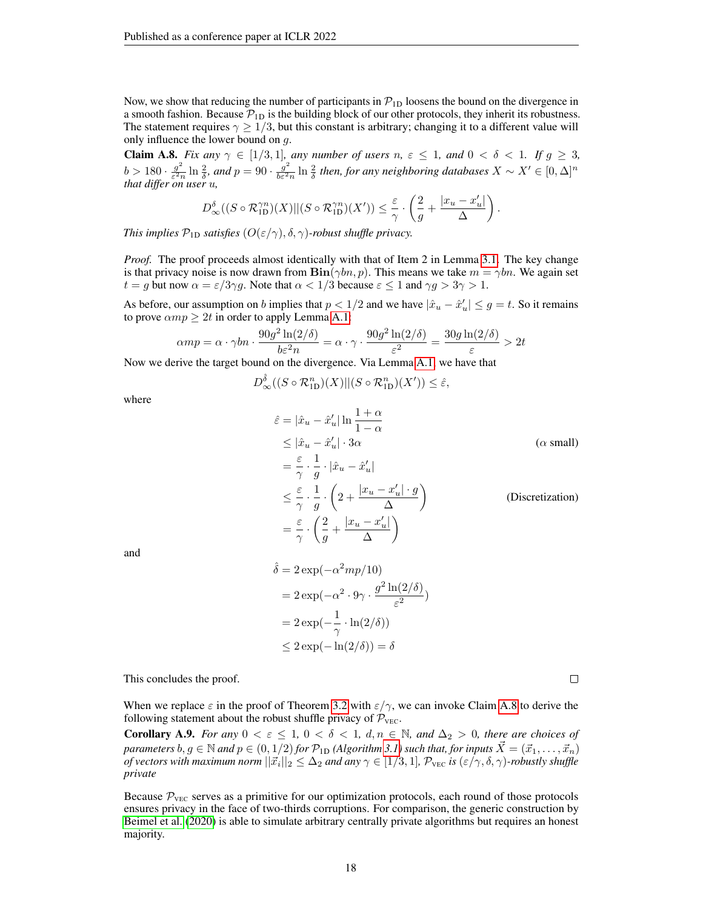Now, we show that reducing the number of participants in  $\mathcal{P}_{1D}$  loosens the bound on the divergence in a smooth fashion. Because  $\mathcal{P}_{1D}$  is the building block of our other protocols, they inherit its robustness. The statement requires  $\gamma \geq 1/3$ , but this constant is arbitrary; changing it to a different value will only influence the lower bound on  $q$ .

<span id="page-17-0"></span>**Claim A.8.** *Fix any*  $\gamma \in [1/3, 1]$ *, any number of users*  $n, \varepsilon \leq 1$ *, and*  $0 < \delta < 1$ *. If*  $g \geq 3$ *,*  $b > 180 \cdot \frac{g^2}{\epsilon^2}$  $\frac{g^2}{\varepsilon^2 n} \ln \frac{2}{\delta}$ *, and*  $p = 90 \cdot \frac{g^2}{b \varepsilon^2}$  $\frac{g^2}{bc^2n}$  ln  $\frac{2}{\delta}$  then, for any neighboring databases  $X \sim X' \in [0, \Delta]^n$ *that differ on user* u*,*

$$
D_{\infty}^{\delta}((S\circ \mathcal{R}_{\text{1D}}^{\gamma n})(X)||(S\circ \mathcal{R}_{\text{1D}}^{\gamma n})(X'))\leq \frac{\varepsilon}{\gamma}\cdot\left(\frac{2}{g}+\frac{|x_u-x'_u|}{\Delta}\right).
$$

*This implies*  $\mathcal{P}_{1D}$  *satisfies*  $(O(\varepsilon/\gamma), \delta, \gamma)$ *-robust shuffle privacy.* 

*Proof.* The proof proceeds almost identically with that of Item 2 in Lemma [3.1.](#page-4-1) The key change is that privacy noise is now drawn from  $\text{Bin}(\gamma bn, p)$ . This means we take  $m = \gamma bn$ . We again set  $t = g$  but now  $\alpha = \varepsilon/3\gamma g$ . Note that  $\alpha < 1/3$  because  $\varepsilon \le 1$  and  $\gamma g > 3\gamma > 1$ .

As before, our assumption on b implies that  $p < 1/2$  and we have  $|\hat{x}_u - \hat{x}'_u| \leq g = t$ . So it remains to prove  $\alpha mp \geq 2t$  in order to apply Lemma [A.1:](#page-12-1)

$$
\alpha m p = \alpha \cdot \gamma b n \cdot \frac{90 g^2 \ln(2/\delta)}{b \varepsilon^2 n} = \alpha \cdot \gamma \cdot \frac{90 g^2 \ln(2/\delta)}{\varepsilon^2} = \frac{30 g \ln(2/\delta)}{\varepsilon} > 2t
$$

Now we derive the target bound on the divergence. Via Lemma [A.1,](#page-12-1) we have that

$$
D_{\infty}^{\hat{\delta}}((S \circ \mathcal{R}_{1D}^n)(X)||(S \circ \mathcal{R}_{1D}^n)(X')) \leq \hat{\varepsilon},
$$

where

$$
\hat{\varepsilon} = |\hat{x}_u - \hat{x}'_u| \ln \frac{1+\alpha}{1-\alpha}
$$
\n
$$
\leq |\hat{x}_u - \hat{x}'_u| \cdot 3\alpha \qquad \text{(α small)}
$$
\n
$$
= \frac{\varepsilon}{\gamma} \cdot \frac{1}{g} \cdot |\hat{x}_u - \hat{x}'_u|
$$
\n
$$
\leq \frac{\varepsilon}{\gamma} \cdot \frac{1}{g} \cdot \left(2 + \frac{|x_u - x'_u| \cdot g}{\Delta}\right) \qquad \text{(Discretization)}
$$
\n
$$
= \frac{\varepsilon}{\gamma} \cdot \left(\frac{2}{g} + \frac{|x_u - x'_u|}{\Delta}\right)
$$

and

$$
\hat{\delta} = 2 \exp(-\alpha^2 m p/10)
$$
  
= 2 \exp(-\alpha^2 \cdot 9\gamma \cdot \frac{g^2 \ln(2/\delta)}{\varepsilon^2})  
= 2 \exp(-\frac{1}{\gamma} \cdot \ln(2/\delta))  
\le 2 \exp(-\ln(2/\delta)) = \delta

This concludes the proof.

When we replace  $\varepsilon$  in the proof of Theorem [3.2](#page-5-2) with  $\varepsilon/\gamma$ , we can invoke Claim [A.8](#page-17-0) to derive the following statement about the robust shuffle privacy of  $P_{\text{VEC}}$ .

**Corollary A.9.** *For any*  $0 < \varepsilon \leq 1$ ,  $0 < \delta < 1$ ,  $d, n \in \mathbb{N}$ , and  $\Delta_2 > 0$ , there are choices of *parameters*  $b, g \in \mathbb{N}$  *and*  $p \in (0, 1/2)$  *for*  $\mathcal{P}_{1D}$  *(Algorithm [3.1\)](#page-4-0) such that, for inputs*  $X = (\vec{x}_1, \dots, \vec{x}_n)$  $of$  vectors with maximum norm  $||\vec{x_i}||_2\leq \Delta_2$  and any  $\gamma\in[1/3,1]$ ,  $\mathcal{P}_{\rm{vec}}$  is  $(\varepsilon/\gamma,\delta,\gamma)$ -robustly shuffle *private*

Because  $\mathcal{P}_{\text{VEC}}$  serves as a primitive for our optimization protocols, each round of those protocols ensures privacy in the face of two-thirds corruptions. For comparison, the generic construction by [Beimel et al.](#page-10-11) [\(2020\)](#page-10-11) is able to simulate arbitrary centrally private algorithms but requires an honest majority.

 $\Box$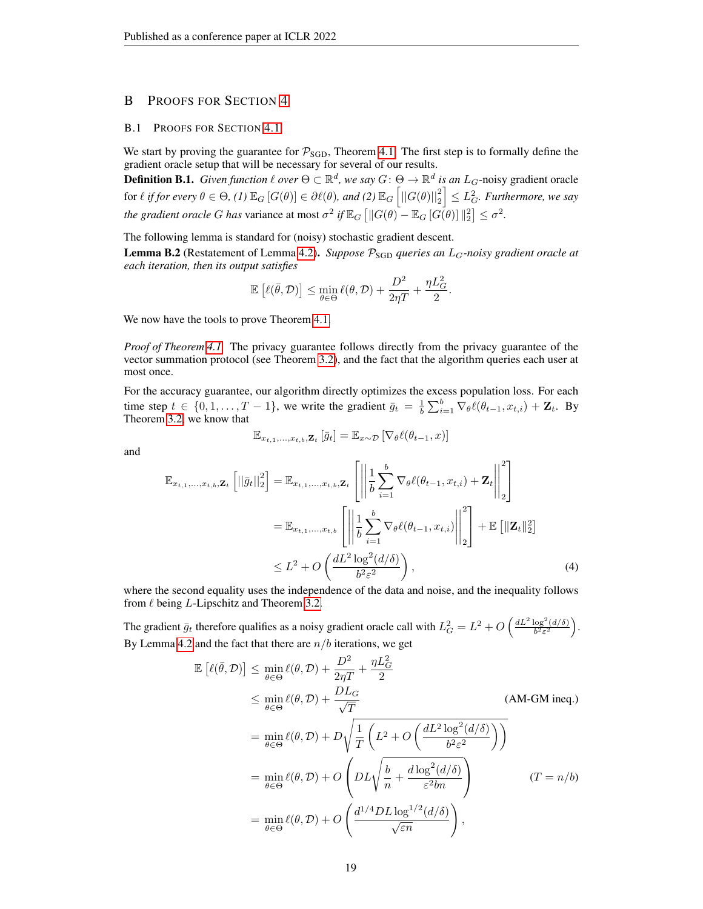# <span id="page-18-0"></span>B PROOFS FOR SECTION [4](#page-5-0)

#### B.1 PROOFS FOR SECTION [4.1](#page-6-1)

We start by proving the guarantee for  $P_{SGD}$ , Theorem [4.1.](#page-6-2) The first step is to formally define the gradient oracle setup that will be necessary for several of our results.

**Definition B.1.** *Given function*  $\ell$  *over*  $\Theta \subset \mathbb{R}^d$ *, we say*  $G: \Theta \to \mathbb{R}^d$  *is an L<sub>G</sub>*-noisy gradient oracle  $\text{for } \ell \text{ if for every } \theta \in \Theta, \text{ (1) } \mathbb{E}_G \left[ G(\theta) \right] \in \partial \ell(\theta) \text{, and (2) } \mathbb{E}_G \left[ ||G(\theta)||^2_2 \right] \leq L_G^2$ . Furthermore, we say *the gradient oracle G has* variance at most  $\sigma^2$  *if*  $\mathbb{E}_G$   $\left[ \left\| G(\theta) - \mathbb{E}_G$   $[G(\theta)] \right\|_2^2 \right] \le \sigma^2$ .

The following lemma is standard for (noisy) stochastic gradient descent.

**Lemma B.2** (Restatement of Lemma [4.2\)](#page-6-3). *Suppose*  $P_{SGD}$  *queries an*  $L_G$ -noisy gradient oracle at *each iteration, then its output satisfies*

$$
\mathbb{E}\left[\ell(\bar{\theta},\mathcal{D})\right] \leq \min_{\theta\in\Theta} \ell(\theta,\mathcal{D}) + \frac{D^2}{2\eta T} + \frac{\eta L^2_G}{2}.
$$

We now have the tools to prove Theorem [4.1.](#page-6-2)

*Proof of Theorem [4.1.](#page-6-2)* The privacy guarantee follows directly from the privacy guarantee of the vector summation protocol (see Theorem [3.2\)](#page-5-2), and the fact that the algorithm queries each user at most once.

For the accuracy guarantee, our algorithm directly optimizes the excess population loss. For each time step  $t \in \{0, 1, \ldots, T-1\}$ , we write the gradient  $\bar{g}_t = \frac{1}{b} \sum_{i=1}^b \nabla_{\theta} \ell(\theta_{t-1}, x_{t,i}) + \mathbf{Z}_t$ . By Theorem [3.2,](#page-5-2) we know that

and

<span id="page-18-1"></span>
$$
\mathbb{E}_{x_{t,1},...,x_{t,b},\mathbf{Z}_t}\left[\bar{g}_t\right] = \mathbb{E}_{x \sim \mathcal{D}}\left[\nabla_{\theta}\ell(\theta_{t-1},x)\right]
$$

$$
\mathbb{E}_{x_{t,1},\ldots,x_{t,b},\mathbf{Z}_t} \left[ \left| |\bar{g}_t| \right|_2^2 \right] = \mathbb{E}_{x_{t,1},\ldots,x_{t,b},\mathbf{Z}_t} \left[ \left| \left| \frac{1}{b} \sum_{i=1}^b \nabla_{\theta} \ell(\theta_{t-1}, x_{t,i}) + \mathbf{Z}_t \right| \right|_2^2 \right]
$$
\n
$$
= \mathbb{E}_{x_{t,1},\ldots,x_{t,b}} \left[ \left| \left| \frac{1}{b} \sum_{i=1}^b \nabla_{\theta} \ell(\theta_{t-1}, x_{t,i}) \right| \right|_2^2 \right] + \mathbb{E} \left[ \left\| \mathbf{Z}_t \right\|_2^2 \right]
$$
\n
$$
\leq L^2 + O\left( \frac{dL^2 \log^2(d/\delta)}{b^2 \varepsilon^2} \right), \tag{4}
$$

where the second equality uses the independence of the data and noise, and the inequality follows from  $\ell$  being L-Lipschitz and Theorem [3.2.](#page-5-2)

The gradient  $\bar{g}_t$  therefore qualifies as a noisy gradient oracle call with  $L_G^2 = L^2 + O\left(\frac{dL^2 \log^2(d/\delta)}{b^2 \varepsilon^2}\right)$  $\frac{\log^2(d/\delta)}{b^2 \varepsilon^2}$ ). By Lemma [4.2](#page-6-3) and the fact that there are  $n/b$  iterations, we get

$$
\mathbb{E}\left[\ell(\bar{\theta}, \mathcal{D})\right] \leq \min_{\theta \in \Theta} \ell(\theta, \mathcal{D}) + \frac{D^2}{2\eta T} + \frac{\eta L_G^2}{2}
$$
\n
$$
\leq \min_{\theta \in \Theta} \ell(\theta, \mathcal{D}) + \frac{D_{L_G}}{\sqrt{T}} \qquad (AM-GM ineq.)
$$
\n
$$
= \min_{\theta \in \Theta} \ell(\theta, \mathcal{D}) + D\sqrt{\frac{1}{T} \left( L^2 + O\left(\frac{dL^2 \log^2(d/\delta)}{b^2 \varepsilon^2}\right)\right)}
$$
\n
$$
= \min_{\theta \in \Theta} \ell(\theta, \mathcal{D}) + O\left( D L \sqrt{\frac{b}{n} + \frac{d \log^2(d/\delta)}{\varepsilon^2 b n}} \right) \qquad (T = n/b)
$$
\n
$$
= \min_{\theta \in \Theta} \ell(\theta, \mathcal{D}) + O\left(\frac{d^{1/4} DL \log^{1/2}(d/\delta)}{\sqrt{\varepsilon n}}\right),
$$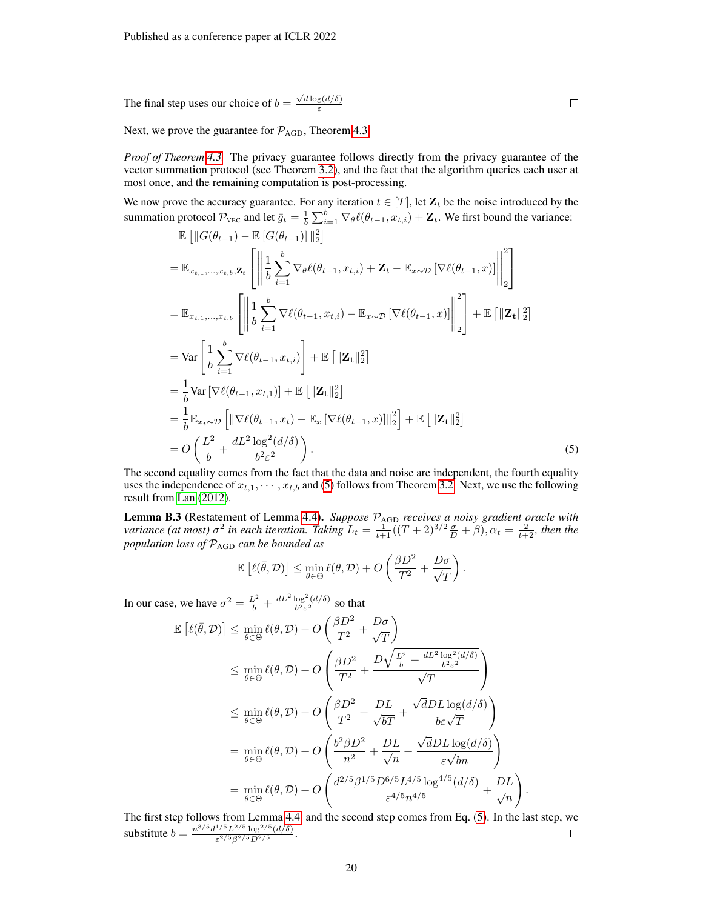The final step uses our choice of  $b =$  $\sqrt{d} \log(d/\delta)$ ε

Next, we prove the guarantee for  $P_{AGD}$ , Theorem [4.3.](#page-6-0)

*Proof of Theorem [4.3.](#page-6-0)* The privacy guarantee follows directly from the privacy guarantee of the vector summation protocol (see Theorem [3.2\)](#page-5-2), and the fact that the algorithm queries each user at most once, and the remaining computation is post-processing.

We now prove the accuracy guarantee. For any iteration  $t \in [T]$ , let  $\mathbf{Z}_t$  be the noise introduced by the summation protocol  $\mathcal{P}_{\text{VEC}}$  and let  $\bar{g}_t = \frac{1}{b} \sum_{i=1}^b \nabla_{\theta} \ell(\theta_{t-1}, x_{t,i}) + \mathbf{Z}_t$ . We first bound the variance:

$$
\mathbb{E}\left[\|G(\theta_{t-1}) - \mathbb{E}\left[G(\theta_{t-1})\right]\|_{2}^{2}\right]
$$
\n
$$
= \mathbb{E}_{x_{t,1},\ldots,x_{t,b},\mathbf{Z}_{t}}\left[\left\|\frac{1}{b}\sum_{i=1}^{b}\nabla_{\theta}\ell(\theta_{t-1},x_{t,i}) + \mathbf{Z}_{t} - \mathbb{E}_{x\sim\mathcal{D}}\left[\nabla\ell(\theta_{t-1},x)\right]\right\|_{2}^{2}\right]
$$
\n
$$
= \mathbb{E}_{x_{t,1},\ldots,x_{t,b}}\left[\left\|\frac{1}{b}\sum_{i=1}^{b}\nabla\ell(\theta_{t-1},x_{t,i}) - \mathbb{E}_{x\sim\mathcal{D}}\left[\nabla\ell(\theta_{t-1},x)\right]\right\|_{2}^{2}\right] + \mathbb{E}\left[\|\mathbf{Z}_{t}\|_{2}^{2}\right]
$$
\n
$$
= \text{Var}\left[\frac{1}{b}\sum_{i=1}^{b}\nabla\ell(\theta_{t-1},x_{t,i})\right] + \mathbb{E}\left[\|\mathbf{Z}_{t}\|_{2}^{2}\right]
$$
\n
$$
= \frac{1}{b}\text{Var}\left[\nabla\ell(\theta_{t-1},x_{t,1})\right] + \mathbb{E}\left[\|\mathbf{Z}_{t}\|_{2}^{2}\right]
$$
\n
$$
= \frac{1}{b}\mathbb{E}_{x_{t}\sim\mathcal{D}}\left[\|\nabla\ell(\theta_{t-1},x_{t}) - \mathbb{E}_{x}\left[\nabla\ell(\theta_{t-1},x)\right]\|_{2}^{2}\right] + \mathbb{E}\left[\|\mathbf{Z}_{t}\|_{2}^{2}\right]
$$
\n
$$
= O\left(\frac{L^{2}}{b} + \frac{dL^{2}\log^{2}(d/\delta)}{b^{2}\varepsilon^{2}}\right).
$$
\n(5)

The second equality comes from the fact that the data and noise are independent, the fourth equality uses the independence of  $x_{t,1}, \dots, x_{t,b}$  and [\(5\)](#page-19-0) follows from Theorem [3.2.](#page-5-2) Next, we use the following result from [Lan](#page-11-16) [\(2012\)](#page-11-16).

Lemma B.3 (Restatement of Lemma [4.4\)](#page-7-2). Suppose  $\mathcal{P}_{\text{AGD}}$  *receives a noisy gradient oracle with variance (at most)*  $\sigma^2$  *in each iteration. Taking*  $L_t = \frac{1}{t+1}((T+2)^{3/2}\frac{\sigma}{D} + \beta)$ ,  $\alpha_t = \frac{2}{t+2}$ *, then the population loss of* PAGD *can be bounded as*

$$
\mathbb{E}\left[\ell(\bar{\theta},\mathcal{D})\right] \leq \min_{\theta \in \Theta} \ell(\theta,\mathcal{D}) + O\left(\frac{\beta D^2}{T^2} + \frac{D\sigma}{\sqrt{T}}\right).
$$

In our case, we have  $\sigma^2 = \frac{L^2}{b} + \frac{dL^2 \log^2(d/\delta)}{b^2 \varepsilon^2}$  $\frac{\log (a/o)}{b^2 \varepsilon^2}$  so that

$$
\mathbb{E}\left[\ell(\bar{\theta}, \mathcal{D})\right] \leq \min_{\theta \in \Theta} \ell(\theta, \mathcal{D}) + O\left(\frac{\beta D^2}{T^2} + \frac{D\sigma}{\sqrt{T}}\right)
$$
\n
$$
\leq \min_{\theta \in \Theta} \ell(\theta, \mathcal{D}) + O\left(\frac{\beta D^2}{T^2} + \frac{D\sqrt{\frac{L^2}{b} + \frac{dL^2 \log^2(d/\delta)}{b^2 \epsilon^2}}}{\sqrt{T}}\right)
$$
\n
$$
\leq \min_{\theta \in \Theta} \ell(\theta, \mathcal{D}) + O\left(\frac{\beta D^2}{T^2} + \frac{DL}{\sqrt{b}T} + \frac{\sqrt{d}DL \log(d/\delta)}{b \epsilon \sqrt{T}}\right)
$$
\n
$$
= \min_{\theta \in \Theta} \ell(\theta, \mathcal{D}) + O\left(\frac{b^2 \beta D^2}{n^2} + \frac{DL}{\sqrt{n}} + \frac{\sqrt{d}DL \log(d/\delta)}{\epsilon \sqrt{b}n}\right)
$$
\n
$$
= \min_{\theta \in \Theta} \ell(\theta, \mathcal{D}) + O\left(\frac{d^{2/5} \beta^{1/5} D^{6/5} L^{4/5} \log^{4/5}(d/\delta)}{\epsilon^{4/5} n^{4/5}} + \frac{DL}{\sqrt{n}}\right)
$$

The first step follows from Lemma [4.4,](#page-7-2) and the second step comes from Eq. [\(5\)](#page-19-0). In the last step, we substitute  $b = \frac{n^{3/5}d^{1/5}L^{2/5}\log^{2/5}(d/\delta)}{\epsilon^{2/5}B^{2/5}D^{2/5}}$  $\Box$  $\frac{1}{\varepsilon^{2/5} \beta^{2/5} D^{2/5}}$ .

.

<span id="page-19-0"></span> $\Box$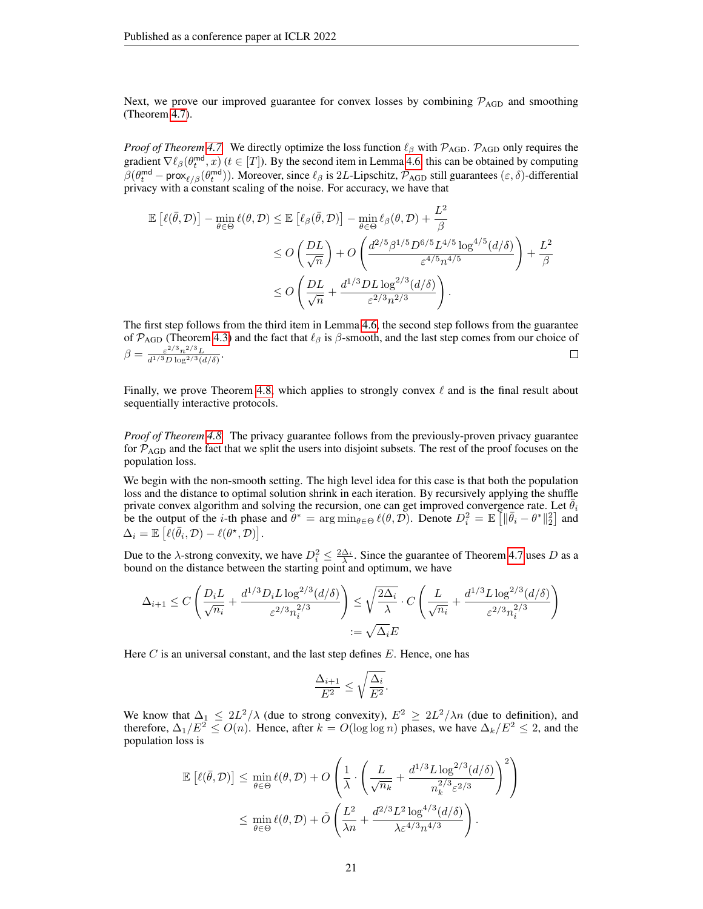Next, we prove our improved guarantee for convex losses by combining  $\mathcal{P}_{AGD}$  and smoothing (Theorem [4.7\)](#page-7-0).

*Proof of Theorem [4.7.](#page-7-0)* We directly optimize the loss function  $\ell_\beta$  with  $\mathcal{P}_{AGD}$ .  $\mathcal{P}_{AGD}$  only requires the gradient  $\nabla \ell_\beta(\theta_t^{\text{md}}, x)$  ( $t \in [T]$ ). By the second item in Lemma [4.6,](#page-7-1) this can be obtained by computing  $\beta(\theta_t^{\text{md}} - \text{prox}_{\ell/\beta}(\theta_t^{\text{md}}))$ . Moreover, since  $\ell_\beta$  is 2L-Lipschitz,  $\mathcal{P}_{AGD}$  still guarantees  $(\varepsilon, \delta)$ -differential privacy with a constant scaling of the noise. For accuracy, we have that

$$
\mathbb{E}\left[\ell(\bar{\theta}, \mathcal{D})\right] - \min_{\theta \in \Theta} \ell(\theta, \mathcal{D}) \leq \mathbb{E}\left[\ell_{\beta}(\bar{\theta}, \mathcal{D})\right] - \min_{\theta \in \Theta} \ell_{\beta}(\theta, \mathcal{D}) + \frac{L^2}{\beta}
$$
  
\n
$$
\leq O\left(\frac{DL}{\sqrt{n}}\right) + O\left(\frac{d^{2/5}\beta^{1/5}D^{6/5}L^{4/5}\log^{4/5}(d/\delta)}{\varepsilon^{4/5}n^{4/5}}\right) + \frac{L^2}{\beta}
$$
  
\n
$$
\leq O\left(\frac{DL}{\sqrt{n}} + \frac{d^{1/3}DL\log^{2/3}(d/\delta)}{\varepsilon^{2/3}n^{2/3}}\right).
$$

The first step follows from the third item in Lemma [4.6,](#page-7-1) the second step follows from the guarantee of  $\mathcal{P}_{AGD}$  (Theorem [4.3\)](#page-6-0) and the fact that  $\ell_\beta$  is  $\beta$ -smooth, and the last step comes from our choice of  $\beta = \frac{\varepsilon^{2/3} n^{2/3} L}{4^{1/3} D \log^{2/3} \theta}$  $\frac{\varepsilon^{2/3}n^{2/3}L}{d^{1/3}D\log^{2/3}(d/\delta)}$ .  $\Box$ 

Finally, we prove Theorem [4.8,](#page-8-1) which applies to strongly convex  $\ell$  and is the final result about sequentially interactive protocols.

*Proof of Theorem [4.8.](#page-8-1)* The privacy guarantee follows from the previously-proven privacy guarantee for  $P_{\text{AGD}}$  and the fact that we split the users into disjoint subsets. The rest of the proof focuses on the population loss.

We begin with the non-smooth setting. The high level idea for this case is that both the population loss and the distance to optimal solution shrink in each iteration. By recursively applying the shuffle private convex algorithm and solving the recursion, one can get improved convergence rate. Let  $\theta_i$ be the output of the *i*-th phase and  $\theta^* = \arg \min_{\theta \in \Theta} \ell(\theta, \mathcal{D})$ . Denote  $D_i^2 = \mathbb{E} \left[ \|\bar{\theta}_i - \theta^*\|_2^2 \right]$  and  $\Delta_i = \mathbb{E} \left[ \ell(\bar{\theta}_i, \mathcal{D}) - \ell(\theta^*, \mathcal{D}) \right].$ 

Due to the  $\lambda$ -strong convexity, we have  $D_i^2 \leq \frac{2\Delta_i}{\lambda}$ . Since the guarantee of Theorem [4.7](#page-7-0) uses D as a bound on the distance between the starting point and optimum, we have

$$
\Delta_{i+1} \le C \left( \frac{D_i L}{\sqrt{n_i}} + \frac{d^{1/3} D_i L \log^{2/3}(d/\delta)}{\varepsilon^{2/3} n_i^{2/3}} \right) \le \sqrt{\frac{2\Delta_i}{\lambda}} \cdot C \left( \frac{L}{\sqrt{n_i}} + \frac{d^{1/3} L \log^{2/3}(d/\delta)}{\varepsilon^{2/3} n_i^{2/3}} \right)
$$

$$
:= \sqrt{\Delta_i} E
$$

Here C is an universal constant, and the last step defines  $E$ . Hence, one has

$$
\frac{\Delta_{i+1}}{E^2}\leq \sqrt{\frac{\Delta_i}{E^2}}.
$$

We know that  $\Delta_1 \leq 2L^2/\lambda$  (due to strong convexity),  $E^2 \geq 2L^2/\lambda n$  (due to definition), and therefore,  $\Delta_1/E^2 \leq O(n)$ . Hence, after  $k = O(\log \log n)$  phases, we have  $\Delta_k/E^2 \leq 2$ , and the population loss is

$$
\mathbb{E}\left[\ell(\bar{\theta},\mathcal{D})\right] \leq \min_{\theta \in \Theta} \ell(\theta,\mathcal{D}) + O\left(\frac{1}{\lambda} \cdot \left(\frac{L}{\sqrt{n_k}} + \frac{d^{1/3}L \log^{2/3}(d/\delta)}{n_k^{2/3} \varepsilon^{2/3}}\right)^2\right)
$$

$$
\leq \min_{\theta \in \Theta} \ell(\theta,\mathcal{D}) + \tilde{O}\left(\frac{L^2}{\lambda n} + \frac{d^{2/3}L^2 \log^{4/3}(d/\delta)}{\lambda \varepsilon^{4/3} n^{4/3}}\right).
$$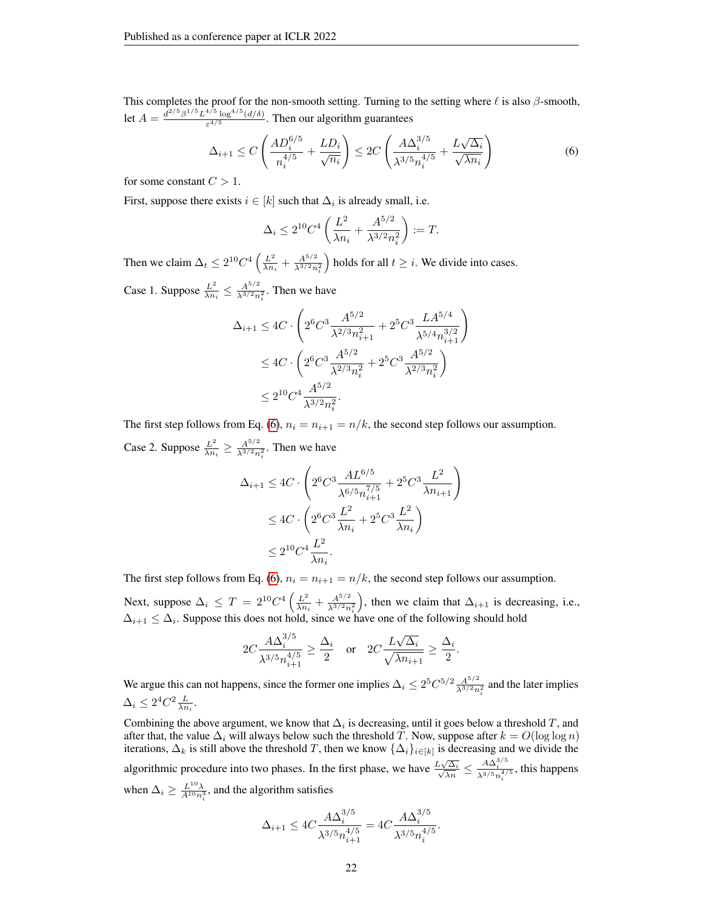This completes the proof for the non-smooth setting. Turning to the setting where  $\ell$  is also  $\beta$ -smooth, let  $A = \frac{d^{2/5} \beta^{1/5} L^{4/5} \log^{4/5}(d/\delta)}{54/5}$  $\frac{1}{\epsilon^{4/5}}$  (*a*/*o*). Then our algorithm guarantees

$$
\Delta_{i+1} \le C \left( \frac{AD_i^{6/5}}{n_i^{4/5}} + \frac{LD_i}{\sqrt{n_i}} \right) \le 2C \left( \frac{A\Delta_i^{3/5}}{\lambda^{3/5} n_i^{4/5}} + \frac{L\sqrt{\Delta_i}}{\sqrt{\lambda n_i}} \right) \tag{6}
$$

for some constant  $C > 1$ .

First, suppose there exists  $i \in [k]$  such that  $\Delta_i$  is already small, i.e.

<span id="page-21-0"></span>
$$
\Delta_i \le 2^{10} C^4 \left( \frac{L^2}{\lambda n_i} + \frac{A^{5/2}}{\lambda^{3/2} n_i^2} \right) := T.
$$

Then we claim  $\Delta_t \leq 2^{10} C^4 \left(\frac{L^2}{\lambda n}\right)$  $\frac{L^2}{\lambda n_i} + \frac{A^{5/2}}{\lambda^{3/2} n}$  $\overline{\lambda^{3/2}n_i^2}$ ) holds for all  $t \geq i$ . We divide into cases.

Case 1. Suppose  $\frac{L^2}{\lambda n}$  $\frac{L^2}{\lambda n_i} \leq \frac{A^{5/2}}{\lambda^{3/2} n}$  $\frac{A^{3/2}}{\lambda^{3/2}n_i^2}$ . Then we have

$$
\Delta_{i+1} \le 4C \cdot \left( 2^6 C^3 \frac{A^{5/2}}{\lambda^{2/3} n_{i+1}^2} + 2^5 C^3 \frac{L A^{5/4}}{\lambda^{5/4} n_{i+1}^{3/2}} \right)
$$
  
\n
$$
\le 4C \cdot \left( 2^6 C^3 \frac{A^{5/2}}{\lambda^{2/3} n_i^2} + 2^5 C^3 \frac{A^{5/2}}{\lambda^{2/3} n_i^2} \right)
$$
  
\n
$$
\le 2^{10} C^4 \frac{A^{5/2}}{\lambda^{3/2} n_i^2}.
$$

The first step follows from Eq. [\(6\)](#page-21-0),  $n_i = n_{i+1} = n/k$ , the second step follows our assumption. Case 2. Suppose  $\frac{L^2}{\lambda n}$  $\frac{L^2}{\lambda n_i} \geq \frac{A^{5/2}}{\lambda^{3/2} n}$  $\frac{A^{3/2}n_i^2}{\lambda^{3/2}n_i^2}$ . Then we have

$$
\Delta_{i+1} \le 4C \cdot \left( 2^6 C^3 \frac{AL^{6/5}}{\lambda^{6/5} n_{i+1}^{7/5}} + 2^5 C^3 \frac{L^2}{\lambda n_{i+1}} \right)
$$
  
\n
$$
\le 4C \cdot \left( 2^6 C^3 \frac{L^2}{\lambda n_i} + 2^5 C^3 \frac{L^2}{\lambda n_i} \right)
$$
  
\n
$$
\le 2^{10} C^4 \frac{L^2}{\lambda n_i}.
$$

The first step follows from Eq. [\(6\)](#page-21-0),  $n_i = n_{i+1} = n/k$ , the second step follows our assumption.

Next, suppose  $\Delta_i \leq T = 2^{10} C^4 \left( \frac{L^2}{\lambda n} \right)$  $\frac{L^2}{\lambda n_i} + \frac{A^{5/2}}{\lambda^{3/2} n}$  $\lambda^{3/2} n_i^2$ ), then we claim that  $\Delta_{i+1}$  is decreasing, i.e.,  $\Delta_{i+1} \leq \Delta_i$ . Suppose this does not hold, since we have one of the following should hold

$$
2C\frac{A\Delta_i^{3/5}}{\lambda^{3/5}n_{i+1}^{4/5}}\geq \frac{\Delta_i}{2}\quad\text{or}\quad 2C\frac{L\sqrt{\Delta_i}}{\sqrt{\lambda n_{i+1}}}\geq \frac{\Delta_i}{2}.
$$

We argue this can not happens, since the former one implies  $\Delta_i \leq 2^5 C^{5/2} \frac{A^{5/2}}{\lambda^{3/2} m}$  $\frac{A^{\alpha/2}}{\lambda^{3/2}n_i^2}$  and the later implies  $\Delta_i \leq 2^4 C^2 \frac{L}{\lambda n_i}.$ 

Combining the above argument, we know that  $\Delta_i$  is decreasing, until it goes below a threshold T, and after that, the value  $\Delta_i$  will always below such the threshold T. Now, suppose after  $k = O(\log \log n)$ iterations,  $\Delta_k$  is still above the threshold T, then we know  $\{\Delta_i\}_{i\in[k]}$  is decreasing and we divide the algorithmic procedure into two phases. In the first phase, we have  $\frac{L\sqrt{L}}{\sqrt{2}}$  $\frac{\sum\sqrt{\Delta_i}}{\sqrt{\lambda n}} \leq \frac{A\Delta_i^{3/5}}{\lambda^{3/5}n_i^{4/5}}$ , this happens when  $\Delta_i \geq \frac{L^{10}\lambda}{A^{10}n_i^3}$ , and the algorithm satisfies

$$
\Delta_{i+1} \le 4C \frac{A \Delta_i^{3/5}}{\lambda^{3/5} n_{i+1}^{4/5}} = 4C \frac{A \Delta_i^{3/5}}{\lambda^{3/5} n_i^{4/5}}.
$$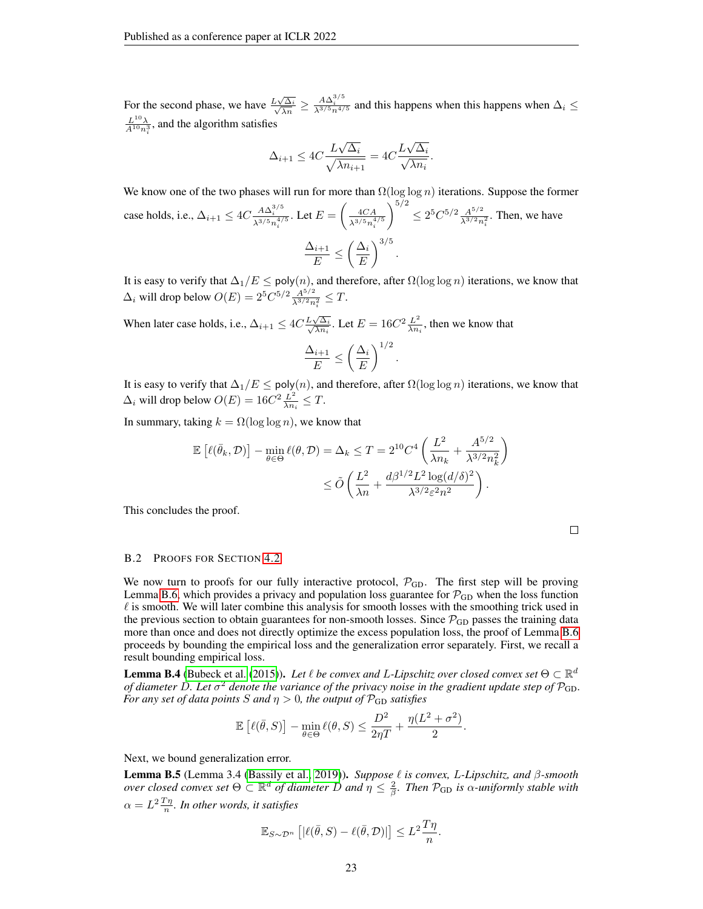For the second phase, we have  $\frac{L\sqrt{}}{\sqrt{2}}$  $\frac{\sum\sqrt{\Delta_i}}{\sqrt{\lambda n}} \ge \frac{A\Delta_i^{3/5}}{\lambda^{3/5}n^{4/5}}$  and this happens when this happens when  $\Delta_i \le$  $\frac{L^{10}\lambda}{A^{10}n_i^3}$ , and the algorithm satisfies

$$
\Delta_{i+1} \le 4C \frac{L\sqrt{\Delta_i}}{\sqrt{\lambda n_{i+1}}} = 4C \frac{L\sqrt{\Delta_i}}{\sqrt{\lambda n_i}}.
$$

We know one of the two phases will run for more than  $\Omega(\log \log n)$  iterations. Suppose the former case holds, i.e.,  $\Delta_{i+1} \leq 4C \frac{A \Delta_i^{3/5}}{\lambda^{3/5} n_i^{4/5}}$ . Let  $E = \left(\frac{4CA}{\lambda^{3/5} n_i^4}\right)$  $\lambda^{3/5} n_i^{4/5}$  $\bigg\}^{5/2} \leq 2^5 C^{5/2} \frac{A^{5/2}}{13/2}$  $\frac{A^{3/2}}{\lambda^{3/2} n_i^2}$ . Then, we have  $\Delta_{i+1}$  $\frac{N_{i+1}}{E} \leq \left(\frac{\Delta_i}{E}\right)$ E  $\bigg)^{3/5}$ .

It is easy to verify that  $\Delta_1/E \leq \mathsf{poly}(n),$  and therefore, after  $\Omega(\log \log n)$  iterations, we know that  $\Delta_i$  will drop below  $O(E) = 2^5 C^{5/2} \frac{A^{5/2}}{\lambda^{3/2} n}$  $\frac{A^{\sigma/2}}{\lambda^{3/2}n_i^2} \leq T.$ 

When later case holds, i.e.,  $\Delta_{i+1} \leq 4C \frac{L\sqrt{}}{\sqrt{\Delta}}$  $\frac{L\sqrt{\Delta_i}}{2}$  $\frac{\sqrt{\Delta_i}}{\lambda n_i}$ . Let  $E=16C^2\frac{L^2}{\lambda n_i}$  $\frac{L^2}{\lambda n_i}$ , then we know that  $\setminus$ <sup>1/2</sup>

$$
\frac{\Delta_{i+1}}{E} \le \left(\frac{\Delta_i}{E}\right)^{1/2}
$$

.

It is easy to verify that  $\Delta_1/E \leq \text{poly}(n)$ , and therefore, after  $\Omega(\log \log n)$  iterations, we know that  $\Delta_i$  will drop below  $O(E) = 16C^2 \frac{L^2}{\lambda n}$  $\frac{L^2}{\lambda n_i} \leq T.$ 

In summary, taking  $k = \Omega(\log \log n)$ , we know that

$$
\mathbb{E}\left[\ell(\bar{\theta}_k, \mathcal{D})\right] - \min_{\theta \in \Theta} \ell(\theta, \mathcal{D}) = \Delta_k \leq T = 2^{10} C^4 \left(\frac{L^2}{\lambda n_k} + \frac{A^{5/2}}{\lambda^{3/2} n_k^2}\right)
$$

$$
\leq \tilde{O}\left(\frac{L^2}{\lambda n} + \frac{d\beta^{1/2} L^2 \log(d/\delta)^2}{\lambda^{3/2} \varepsilon^2 n^2}\right).
$$

This concludes the proof.

#### B.2 PROOFS FOR SECTION [4.2](#page-8-2)

We now turn to proofs for our fully interactive protocol,  $P_{GD}$ . The first step will be proving Lemma [B.6,](#page-23-0) which provides a privacy and population loss guarantee for  $P_{GD}$  when the loss function  $\ell$  is smooth. We will later combine this analysis for smooth losses with the smoothing trick used in the previous section to obtain guarantees for non-smooth losses. Since  $\mathcal{P}_{GD}$  passes the training data more than once and does not directly optimize the excess population loss, the proof of Lemma [B.6](#page-23-0) proceeds by bounding the empirical loss and the generalization error separately. First, we recall a result bounding empirical loss.

<span id="page-22-0"></span>**Lemma B.4** [\(Bubeck et al.](#page-10-16) [\(2015\)](#page-10-16)). Let  $\ell$  be convex and L-Lipschitz over closed convex set  $\Theta \subset \mathbb{R}^d$ of diameter D. Let  $\sigma^2$  denote the variance of the privacy noise in the gradient update step of  $\mathcal{P}_{\text{GD}}$ . *For any set of data points S and*  $\eta > 0$ *, the output of*  $\mathcal{P}_{GD}$  *satisfies* 

$$
\mathbb{E}\left[\ell(\bar{\theta},S)\right]-\min_{\theta\in\Theta}\ell(\theta,S)\leq \frac{D^2}{2\eta T}+\frac{\eta(L^2+\sigma^2)}{2}.
$$

Next, we bound generalization error.

<span id="page-22-1"></span>Lemma B.5 (Lemma 3.4 [\(Bassily et al., 2019\)](#page-10-2)). *Suppose* ` *is convex,* L*-Lipschitz, and* β*-smooth*  $\omega$  *over closed convex set*  $\Theta \subset \mathbb{R}^d$  *of diameter*  $D$  *and*  $\eta \leq \frac{2}{\beta}$ *. Then*  $\mathcal{P}_{GD}$  *is*  $\alpha$ *-uniformly stable with*  $\alpha = L^2 \frac{T\eta}{n}$ *. In other words, it satisfies* 

$$
\mathbb{E}_{S\sim\mathcal{D}^n}\left[|\ell(\bar{\theta},S)-\ell(\bar{\theta},\mathcal{D})|\right] \leq L^2 \frac{T\eta}{n}.
$$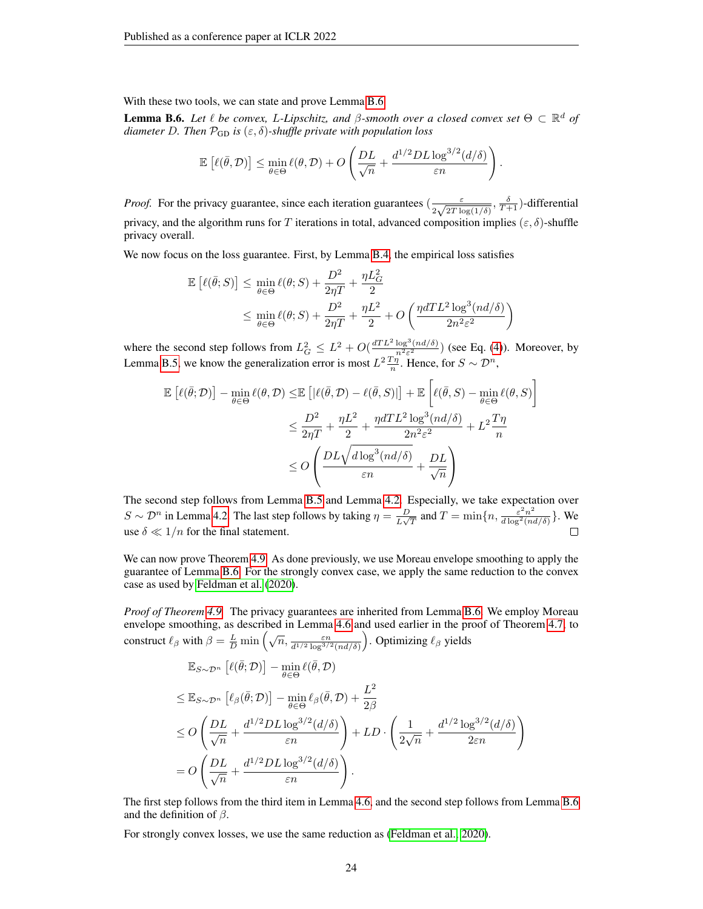With these two tools, we can state and prove Lemma [B.6](#page-23-0)

<span id="page-23-0"></span>**Lemma B.6.** Let  $\ell$  be convex, L-Lipschitz, and  $\beta$ -smooth over a closed convex set  $\Theta \subset \mathbb{R}^d$  of *diameter* D. Then  $\mathcal{P}_{GD}$  *is*  $(\varepsilon, \delta)$ -shuffle private with population loss

$$
\mathbb{E}\left[\ell(\bar{\theta},\mathcal{D})\right] \leq \min_{\theta \in \Theta} \ell(\theta,\mathcal{D}) + O\left(\frac{DL}{\sqrt{n}} + \frac{d^{1/2}DL\log^{3/2}(d/\delta)}{\varepsilon n}\right)
$$

.

*Proof.* For the privacy guarantee, since each iteration guarantees  $\left(\frac{\varepsilon}{2\sqrt{2\pi}}\right)$  $\frac{\varepsilon}{2\sqrt{2T\log(1/\delta)}}, \frac{\delta}{T+1})$ -differential privacy, and the algorithm runs for T iterations in total, advanced composition implies ( $\varepsilon$ ,  $\delta$ )-shuffle privacy overall.

We now focus on the loss guarantee. First, by Lemma [B.4,](#page-22-0) the empirical loss satisfies

$$
\mathbb{E}\left[\ell(\bar{\theta};S)\right] \le \min_{\theta \in \Theta} \ell(\theta;S) + \frac{D^2}{2\eta T} + \frac{\eta L_G^2}{2}
$$
  

$$
\le \min_{\theta \in \Theta} \ell(\theta;S) + \frac{D^2}{2\eta T} + \frac{\eta L^2}{2} + O\left(\frac{\eta dTL^2 \log^3(nd/\delta)}{2n^2 \varepsilon^2}\right)
$$

where the second step follows from  $L_G^2 \leq L^2 + O(\frac{dT L^2 \log^3(nd/\delta)}{n^2 \epsilon^2})$  (see Eq. [\(4\)](#page-18-1)). Moreover, by Lemma [B.5,](#page-22-1) we know the generalization error is most  $L^2 \frac{T\eta}{n}$ . Hence, for  $S \sim \mathcal{D}^n$ ,

$$
\mathbb{E}\left[\ell(\bar{\theta}; \mathcal{D})\right] - \min_{\theta \in \Theta} \ell(\theta, \mathcal{D}) \leq \mathbb{E}\left[\left|\ell(\bar{\theta}, \mathcal{D}) - \ell(\bar{\theta}, S)\right|\right] + \mathbb{E}\left[\ell(\bar{\theta}, S) - \min_{\theta \in \Theta} \ell(\theta, S)\right]
$$
  

$$
\leq \frac{D^2}{2\eta T} + \frac{\eta L^2}{2} + \frac{\eta dTL^2 \log^3(nd/\delta)}{2n^2 \varepsilon^2} + L^2 \frac{T\eta}{n}
$$
  

$$
\leq O\left(\frac{DL\sqrt{d\log^3(nd/\delta)}}{\varepsilon n} + \frac{DL}{\sqrt{n}}\right)
$$

The second step follows from Lemma [B.5](#page-22-1) and Lemma [4.2.](#page-6-3) Especially, we take expectation over  $\frac{D}{L\sqrt{T}}$  and  $T = \min\{n, \frac{\varepsilon^2 n^2}{d\log^2(na)}\}$  $S \sim \mathcal{D}^n$  in Lemma [4.2.](#page-6-3) The last step follows by taking  $\eta = \frac{D}{L}$  $\frac{\varepsilon^2 n^2}{d \log^2(nd/\delta)}$ . We use  $\delta \ll 1/n$  for the final statement.  $\Box$ 

We can now prove Theorem [4.9.](#page-8-0) As done previously, we use Moreau envelope smoothing to apply the guarantee of Lemma [B.6.](#page-23-0) For the strongly convex case, we apply the same reduction to the convex case as used by [Feldman et al.](#page-11-0) [\(2020\)](#page-11-0).

*Proof of Theorem [4.9.](#page-8-0)* The privacy guarantees are inherited from Lemma [B.6.](#page-23-0) We employ Moreau envelope smoothing, as described in Lemma [4.6](#page-7-1) and used earlier in the proof of Theorem [4.7,](#page-7-0) to construct  $\ell_{\beta}$  with  $\beta = \frac{L}{D} \min \left( \sqrt{n}, \frac{\varepsilon n}{d^{1/2} \log^{3/2}(nd/\delta)} \right)$ . Optimizing  $\ell_{\beta}$  yields

$$
\mathbb{E}_{S \sim \mathcal{D}^n} \left[ \ell(\bar{\theta}; \mathcal{D}) \right] - \min_{\theta \in \Theta} \ell(\bar{\theta}, \mathcal{D})
$$
\n
$$
\leq \mathbb{E}_{S \sim \mathcal{D}^n} \left[ \ell_\beta(\bar{\theta}; \mathcal{D}) \right] - \min_{\theta \in \Theta} \ell_\beta(\bar{\theta}, \mathcal{D}) + \frac{L^2}{2\beta}
$$
\n
$$
\leq O\left( \frac{DL}{\sqrt{n}} + \frac{d^{1/2}DL \log^{3/2}(d/\delta)}{\varepsilon n} \right) + LD \cdot \left( \frac{1}{2\sqrt{n}} + \frac{d^{1/2} \log^{3/2}(d/\delta)}{2\varepsilon n} \right)
$$
\n
$$
= O\left( \frac{DL}{\sqrt{n}} + \frac{d^{1/2}DL \log^{3/2}(d/\delta)}{\varepsilon n} \right).
$$

The first step follows from the third item in Lemma [4.6,](#page-7-1) and the second step follows from Lemma [B.6](#page-23-0) and the definition of  $\beta$ .

For strongly convex losses, we use the same reduction as [\(Feldman et al., 2020\)](#page-11-0).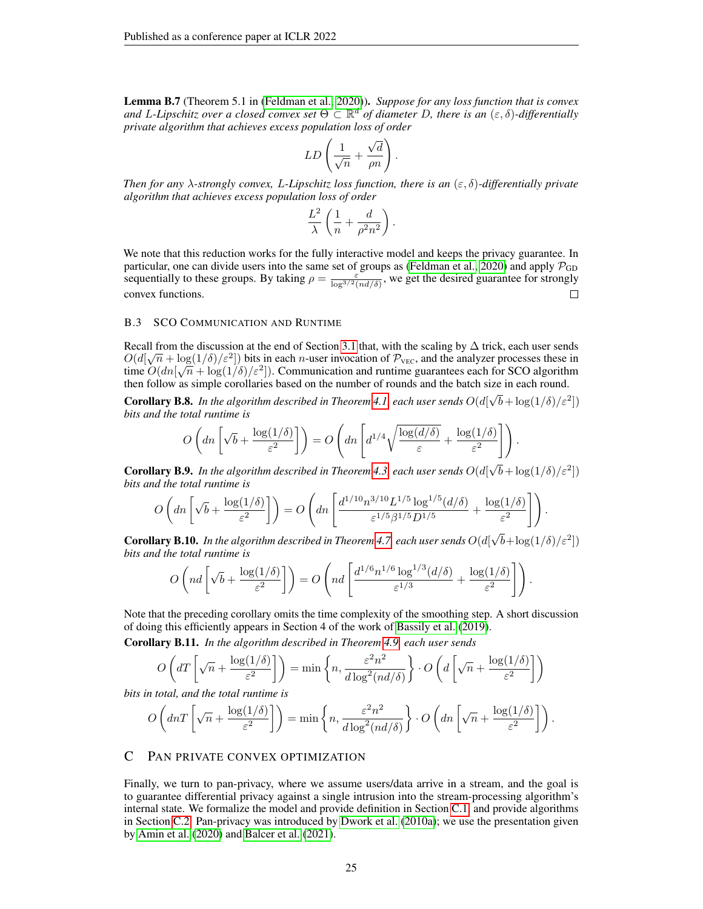Lemma B.7 (Theorem 5.1 in [\(Feldman et al., 2020\)](#page-11-0)). *Suppose for any loss function that is convex and* L*-Lipschitz over a closed convex set* Θ ⊂ R <sup>d</sup> *of diameter* D*, there is an* (ε, δ)*-differentially private algorithm that achieves excess population loss of order*

$$
LD\left(\frac{1}{\sqrt{n}} + \frac{\sqrt{d}}{\rho n}\right).
$$

*Then for any* λ*-strongly convex,* L*-Lipschitz loss function, there is an* (ε, δ)*-differentially private algorithm that achieves excess population loss of order*

$$
\frac{L^2}{\lambda}\left(\frac{1}{n} + \frac{d}{\rho^2 n^2}\right)
$$

.

We note that this reduction works for the fully interactive model and keeps the privacy guarantee. In particular, one can divide users into the same set of groups as [\(Feldman et al., 2020\)](#page-11-0) and apply  $\mathcal{P}_{GD}$ sequentially to these groups. By taking  $\rho = \frac{\varepsilon}{\log^{3/2}(nd/\delta)}$ , we get the desired guarantee for strongly convex functions.  $\Box$ 

## B.3 SCO COMMUNICATION AND RUNTIME

Recall from the discussion at the end of Section [3.1](#page-4-0) that, with the scaling by  $\Delta$  trick, each user sends  $O(d[\sqrt{n} + \log(1/\delta)/\epsilon^2])$  bits in each *n*-user invocation of  $\mathcal{P}_{\text{VEC}}$ , and the analyzer processes these in time  $O(dn[\sqrt{n} + \log(1/\delta)/\varepsilon^2])$ . Communication and runtime guarantees each for SCO algorithm then follow as simple corollaries based on the number of rounds and the batch size in each round.

**Corollary B.8.** In the algorithm described in Theorem [4.1,](#page-6-2) each user sends  $O(d[\sqrt{b} + \log(1/\delta)/\varepsilon^2])$ *bits and the total runtime is*

$$
O\left(dn\left[\sqrt{b}+\frac{\log(1/\delta)}{\varepsilon^2}\right]\right)=O\left(dn\left[d^{1/4}\sqrt{\frac{\log(d/\delta)}{\varepsilon}}+\frac{\log(1/\delta)}{\varepsilon^2}\right]\right).
$$

Corollary B.9. *In the algorithm described in Theorem [4.3,](#page-6-0) each user sends* O(d[  $\sqrt{b} + \log(1/\delta)/\varepsilon^2$ *bits and the total runtime is*

$$
O\left(dn\left[\sqrt{b}+\frac{\log(1/\delta)}{\varepsilon^2}\right]\right)=O\left(dn\left[\frac{d^{1/10}n^{3/10}L^{1/5}\log^{1/5}(d/\delta)}{\varepsilon^{1/5}\beta^{1/5}D^{1/5}}+\frac{\log(1/\delta)}{\varepsilon^2}\right]\right).
$$

**Corollary B.10.** In the algorithm described in Theorem [4.7,](#page-7-0) each user sends  $O(d)$  $\sqrt{b} + \log(1/\delta)/\varepsilon^2$ *bits and the total runtime is*

$$
O\left(nd\left[\sqrt{b} + \frac{\log(1/\delta)}{\varepsilon^2}\right]\right) = O\left(nd\left[\frac{d^{1/6}n^{1/6}\log^{1/3}(d/\delta)}{\varepsilon^{1/3}} + \frac{\log(1/\delta)}{\varepsilon^2}\right]\right).
$$

Note that the preceding corollary omits the time complexity of the smoothing step. A short discussion of doing this efficiently appears in Section 4 of the work of [Bassily et al.](#page-10-2) [\(2019\)](#page-10-2).

Corollary B.11. *In the algorithm described in Theorem [4.9,](#page-8-0) each user sends*

$$
O\left(dT\left[\sqrt{n} + \frac{\log(1/\delta)}{\varepsilon^2}\right]\right) = \min\left\{n, \frac{\varepsilon^2 n^2}{d\log^2(nd/\delta)}\right\} \cdot O\left(d\left[\sqrt{n} + \frac{\log(1/\delta)}{\varepsilon^2}\right]\right)
$$

*bits in total, and the total runtime is*

$$
O\left(dnT\left[\sqrt{n}+\frac{\log(1/\delta)}{\varepsilon^2}\right]\right) = \min\left\{n, \frac{\varepsilon^2 n^2}{d\log^2(nd/\delta)}\right\} \cdot O\left(dn\left[\sqrt{n}+\frac{\log(1/\delta)}{\varepsilon^2}\right]\right).
$$

## <span id="page-24-0"></span>C PAN PRIVATE CONVEX OPTIMIZATION

Finally, we turn to pan-privacy, where we assume users/data arrive in a stream, and the goal is to guarantee differential privacy against a single intrusion into the stream-processing algorithm's internal state. We formalize the model and provide definition in Section [C.1,](#page-25-0) and provide algorithms in Section [C.2.](#page-25-1) Pan-privacy was introduced by [Dwork et al.](#page-11-15) [\(2010a\)](#page-11-15); we use the presentation given by [Amin et al.](#page-10-18) [\(2020\)](#page-10-18) and [Balcer et al.](#page-10-10) [\(2021\)](#page-10-10).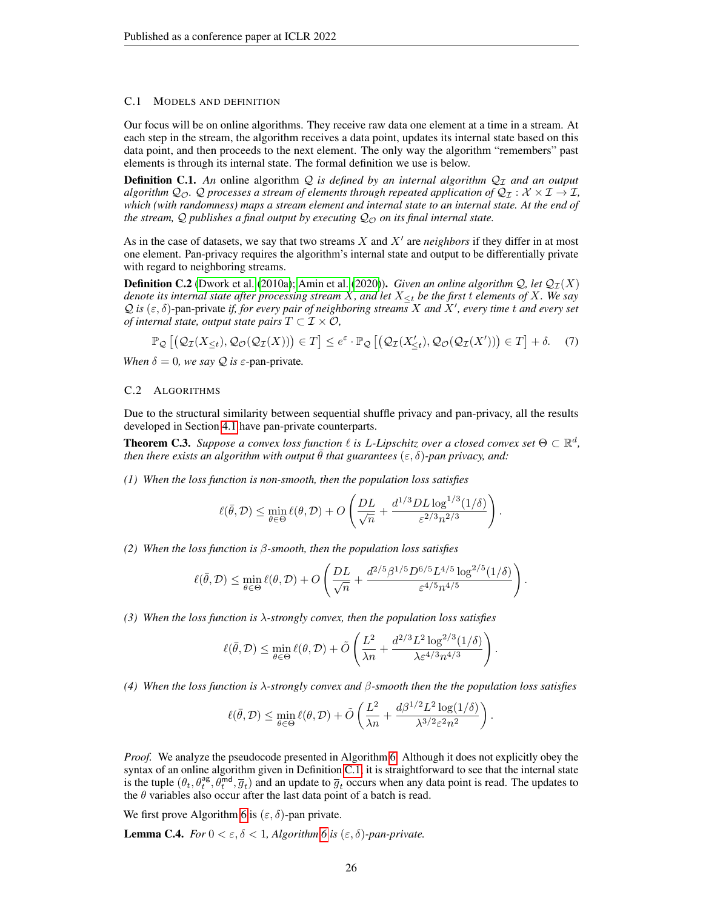## <span id="page-25-0"></span>C.1 MODELS AND DEFINITION

Our focus will be on online algorithms. They receive raw data one element at a time in a stream. At each step in the stream, the algorithm receives a data point, updates its internal state based on this data point, and then proceeds to the next element. The only way the algorithm "remembers" past elements is through its internal state. The formal definition we use is below.

<span id="page-25-2"></span>**Definition C.1.** An online algorithm Q is defined by an internal algorithm  $Q<sub>T</sub>$  and an output *algorithm*  $Q_{\mathcal{O}}$ . Q *processes a stream of elements through repeated application of*  $Q_{\mathcal{I}} : \mathcal{X} \times \mathcal{I} \to \mathcal{I}$ , *which (with randomness) maps a stream element and internal state to an internal state. At the end of the stream,*  $\mathcal{Q}$  *publishes a final output by executing*  $\mathcal{Q}_{\mathcal{O}}$  *on its final internal state.* 

As in the case of datasets, we say that two streams  $X$  and  $X'$  are *neighbors* if they differ in at most one element. Pan-privacy requires the algorithm's internal state and output to be differentially private with regard to neighboring streams.

**Definition C.2** [\(Dwork et al.](#page-11-15) [\(2010a\)](#page-11-15); [Amin et al.](#page-10-18) [\(2020\)](#page-10-18)). *Given an online algorithm*  $Q$ *, let*  $Q_{\mathcal{I}}(X)$ *denote its internal state after processing stream* X*, and let* X≤<sup>t</sup> *be the first* t *elements of* X*. We say*  $\mathcal{Q}$  *is* ( $\varepsilon$ ,  $\delta$ )-pan-private *if, for every pair of neighboring streams X and X'*, every time t and every set *of internal state, output state pairs*  $T \subset \mathcal{I} \times \mathcal{O}$ *,* 

$$
\mathbb{P}_{\mathcal{Q}}\left[\left(\mathcal{Q}_{\mathcal{I}}(X_{\leq t}),\mathcal{Q}_{\mathcal{O}}(\mathcal{Q}_{\mathcal{I}}(X))\right)\in T\right] \leq e^{\varepsilon} \cdot \mathbb{P}_{\mathcal{Q}}\left[\left(\mathcal{Q}_{\mathcal{I}}(X'_{\leq t}),\mathcal{Q}_{\mathcal{O}}(\mathcal{Q}_{\mathcal{I}}(X'))\right)\in T\right] + \delta. \tag{7}
$$

*When*  $\delta = 0$ *, we say*  $\mathcal Q$  *is*  $\varepsilon$ -pan-private.

## <span id="page-25-1"></span>C.2 ALGORITHMS

Due to the structural similarity between sequential shuffle privacy and pan-privacy, all the results developed in Section [4.1](#page-6-1) have pan-private counterparts.

**Theorem C.3.** Suppose a convex loss function  $\ell$  is L-Lipschitz over a closed convex set  $\Theta \subset \mathbb{R}^d$ , *then there exists an algorithm with output*  $\overline{\theta}$  *that guarantees*  $(\varepsilon, \delta)$ *-pan privacy, and:* 

*(1) When the loss function is non-smooth, then the population loss satisfies*

$$
\ell(\bar{\theta}, \mathcal{D}) \le \min_{\theta \in \Theta} \ell(\theta, \mathcal{D}) + O\left(\frac{DL}{\sqrt{n}} + \frac{d^{1/3}DL\log^{1/3}(1/\delta)}{\varepsilon^{2/3}n^{2/3}}\right).
$$

*(2) When the loss function is* β*-smooth, then the population loss satisfies*

$$
\ell(\bar{\theta},\mathcal{D}) \leq \min_{\theta \in \Theta} \ell(\theta,\mathcal{D}) + O\left(\frac{DL}{\sqrt{n}} + \frac{d^{2/5}\beta^{1/5}D^{6/5}L^{4/5}\log^{2/5}(1/\delta)}{\varepsilon^{4/5}n^{4/5}}\right).
$$

*(3) When the loss function is* λ*-strongly convex, then the population loss satisfies*

$$
\ell(\bar{\theta}, \mathcal{D}) \le \min_{\theta \in \Theta} \ell(\theta, \mathcal{D}) + \tilde{O}\left(\frac{L^2}{\lambda n} + \frac{d^{2/3}L^2\log^{2/3}(1/\delta)}{\lambda \varepsilon^{4/3}n^{4/3}}\right)
$$

.

*(4) When the loss function is* λ*-strongly convex and* β*-smooth then the the population loss satisfies*

$$
\ell(\bar{\theta}, \mathcal{D}) \le \min_{\theta \in \Theta} \ell(\theta, \mathcal{D}) + \tilde{O}\left(\frac{L^2}{\lambda n} + \frac{d\beta^{1/2}L^2\log(1/\delta)}{\lambda^{3/2}\varepsilon^2 n^2}\right).
$$

*Proof.* We analyze the pseudocode presented in Algorithm [6.](#page-26-0) Although it does not explicitly obey the syntax of an online algorithm given in Definition [C.1,](#page-25-2) it is straightforward to see that the internal state is the tuple  $(\theta_t, \theta_t^{ag}, \theta_t^{md}, \overline{g}_t)$  and an update to  $\overline{g}_t$  occurs when any data point is read. The updates to the  $\theta$  variables also occur after the last data point of a batch is read.

We first prove Algorithm [6](#page-26-0) is  $(\varepsilon, \delta)$ -pan private.

**Lemma C.4.** *For*  $0 < \varepsilon, \delta < 1$ , *Algorithm 6 is*  $(\varepsilon, \delta)$ -pan-private.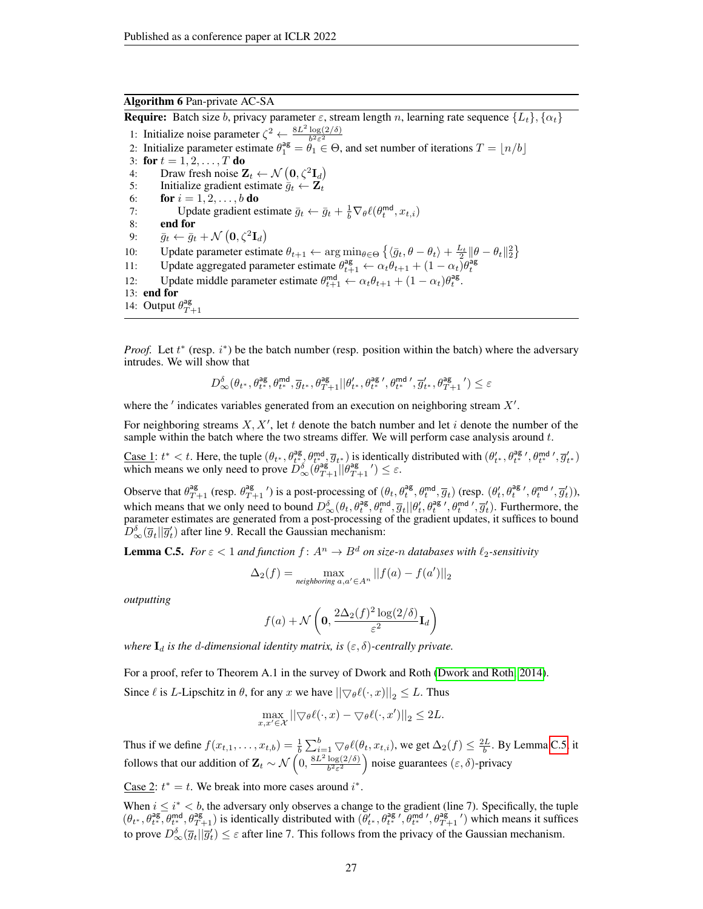# Algorithm 6 Pan-private AC-SA

<span id="page-26-0"></span>**Require:** Batch size b, privacy parameter  $\varepsilon$ , stream length n, learning rate sequence  $\{L_t\}$ ,  $\{\alpha_t\}$ 

- 1: Initialize noise parameter  $\zeta^2 \leftarrow \frac{8L^2 \log(2/\delta)}{h^2 \epsilon^2}$
- 2: Initialize parameter estimate  $\theta_1^{\text{ag}} = \theta_1 \in \Theta$ , and set number of iterations  $T = \lfloor n/b \rfloor$
- 3: for  $t = 1, 2, ..., T$  do
- 4: Draw fresh noise  $\mathbf{Z}_t \leftarrow \mathcal{N}(\mathbf{0}, \zeta^2 \mathbf{I}_d)$ 5: Initialize gradient estimate  $\bar{g}_t \leftarrow \mathbf{Z}_t$
- 6: **for**  $i = 1, 2, ..., b$  **do**
- 7: Update gradient estimate  $\bar{g}_t \leftarrow \bar{g}_t + \frac{1}{b} \nabla_{\theta} \ell(\theta_t^{\text{md}}, x_{t,i})$
- 8: end for
- 9:  $\bar{g}_t \leftarrow \bar{g}_t + \mathcal{N}(\mathbf{0}, \zeta^2 \mathbf{I}_d)$
- 10: Update parameter estimate  $\theta_{t+1} \leftarrow \arg \min_{\theta \in \Theta} \left\{ \langle \bar{g}_t, \theta \theta_t \rangle + \frac{L_t}{2} || \theta \theta_t ||_2^2 \right\}$
- 11: Update aggregated parameter estimate  $\theta_{t+1}^{\text{ag}} \leftarrow \alpha_t \theta_{t+1} + (1 \alpha_t) \theta_t^{\text{ag}}$
- 12: Update middle parameter estimate  $\theta_{t+1}^{\text{md}} \leftarrow \alpha_t \theta_{t+1} + (1 \alpha_t) \theta_t^{\text{ag}}$ .
- 13: end for
- 14: Output  $\theta_{T+1}^{\text{ag}}$

*Proof.* Let  $t^*$  (resp.  $i^*$ ) be the batch number (resp. position within the batch) where the adversary intrudes. We will show that

$$
D^{\delta}_\infty(\theta_{t^*},\theta^{\mathrm{ag}}_{t^*},\theta^{\mathrm{md}}_{t^*},\overline{g}_{t^*},\theta^{\mathrm{ag}}_{T+1}||\theta'_{t^*},\theta^{\mathrm{ag}\;\prime}_{t^*},\theta^{\mathrm{md}\;\prime}_{t^*},\overline{g}'_{t^*},\theta^{\mathrm{ag}}_{T+1}\;\!{}')\leq \varepsilon
$$

where the  $'$  indicates variables generated from an execution on neighboring stream  $X'$ .

For neighboring streams  $X, X'$ , let t denote the batch number and let i denote the number of the sample within the batch where the two streams differ. We will perform case analysis around  $t$ .

Case 1:  $t^* < t$ . Here, the tuple  $(\theta_{t^*}, \theta_{t^*}^{\text{ag}}, \theta_{t^*}^{\text{md}}, \overline{g}_{t^*})$  is identically distributed with  $(\theta'_{t^*}, \theta_{t^*}^{\text{ag}}, \theta_{t^*}^{\text{md}'}$ ,  $\overline{g}_{t^*})$ which means we only need to prove  $D_{\infty}^{\delta}(\theta_{T+1}^{\text{ag}}||\theta_{T+1}^{\text{ag}}') \leq \varepsilon$ .

Observe that  $\theta_{T+1}^{\text{ag}}$  (resp.  $\theta_{T+1}^{\text{ag}}$ ') is a post-processing of  $(\theta_t, \theta_t^{\text{ag}}, \theta_t^{\text{md}}, \overline{g}_t)$  (resp.  $(\theta_t', \theta_t^{\text{ag}}, \theta_t^{\text{md}}, \overline{g}_t')$ ), which means that we only need to bound  $D_{\infty}^{\delta}(\theta_t, \theta_t^{\text{ag}}, \theta_t^{\text{md}}, \overline{g}_t || \theta_t', \theta_t^{\text{ag}}', \theta_t^{\text{md}}, \overline{g}_t').$  Furthermore, the parameter estimates are generated from a post-processing of the gradient updates, it suffices to bound  $D_{\infty}^{\delta}(\overline{g}_{t}||\overline{g}_{t}')$  after line 9. Recall the Gaussian mechanism:

<span id="page-26-1"></span>**Lemma C.5.** *For*  $\epsilon < 1$  *and function*  $f: A^n \to B^d$  *on size-n databases with*  $\ell_2$ -sensitivity

$$
\Delta_2(f) = \max_{\text{neighboring }a, a' \in A^n} ||f(a) - f(a')||_2
$$

*outputting*

$$
f(a) + \mathcal{N}\left(\mathbf{0}, \frac{2\Delta_2(f)^2\log(2/\delta)}{\varepsilon^2}\mathbf{I}_d\right)
$$

*where*  $I_d$  *is the d-dimensional identity matrix, is*  $(\varepsilon, \delta)$ -centrally private.

For a proof, refer to Theorem A.1 in the survey of Dwork and Roth [\(Dwork and Roth, 2014\)](#page-10-13).

Since  $\ell$  is L-Lipschitz in  $\theta$ , for any x we have  $||\nabla_{\theta} \ell(\cdot, x)||_2 \leq L$ . Thus

$$
\max_{x,x'\in\mathcal{X}}||\bigtriangledown_{\theta}\ell(\cdot,x)-\bigtriangledown_{\theta}\ell(\cdot,x')||_2\leq 2L.
$$

Thus if we define  $f(x_{t,1},...,x_{t,b}) = \frac{1}{b} \sum_{i=1}^{b} \bigtriangledown_{\theta} \ell(\theta_t, x_{t,i})$ , we get  $\Delta_2(f) \leq \frac{2L}{b}$ . By Lemma [C.5,](#page-26-1) it follows that our addition of  $\mathbf{Z}_t \sim \mathcal{N}\left(0, \frac{8L^2 \log(2/\delta)}{h^2 \epsilon^2}\right)$  $\frac{\log(2/\delta)}{b^2 \varepsilon^2}$  noise guarantees  $(\varepsilon, \delta)$ -privacy

Case 2:  $t^* = t$ . We break into more cases around  $i^*$ .

When  $i \leq i^* < b$ , the adversary only observes a change to the gradient (line 7). Specifically, the tuple  $(\theta_{t^*}, \theta_{t^*}^{\text{ag}}, \theta_{T+1}^{\text{ag}})$  is identically distributed with  $(\theta'_{t^*}, \theta_{t^*}^{\text{ag}}, \theta_{t^*}^{\text{ag}}, \theta_{T+1}^{\text{ag}})$  which means it suffices to prove  $D_{\infty}^{\delta}(\overline{g}_t || \overline{g}'_t) \leq \varepsilon$  after line 7. This follows from the privacy of the Gaussian mechanism.